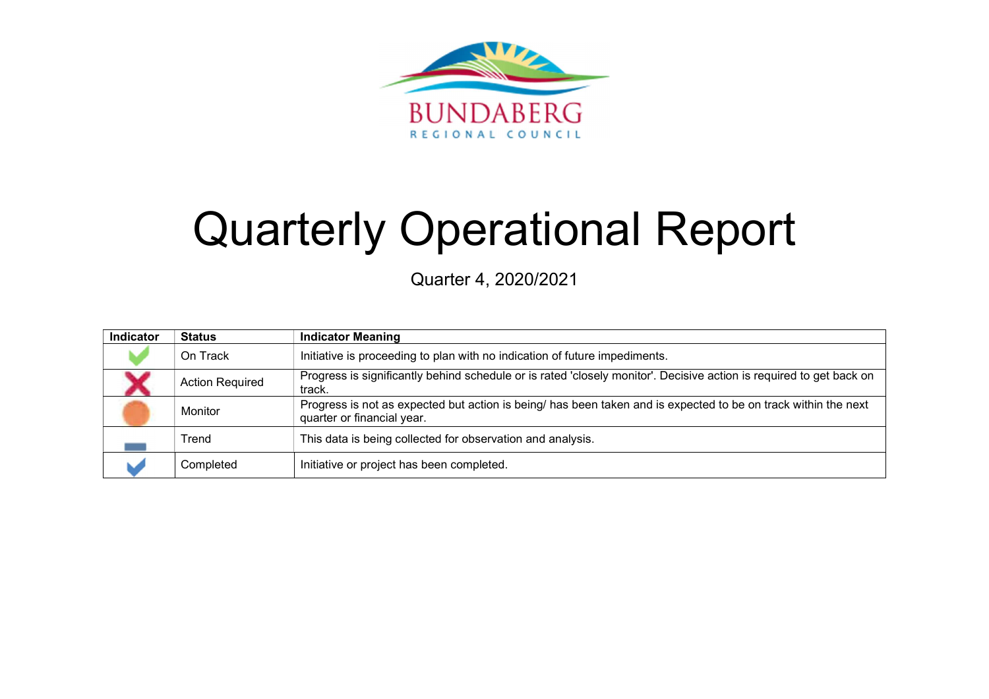

# Quarterly Operational Report

Quarter 4, 2020/2021

| Indicator | <b>Status</b>          | <b>Indicator Meaning</b>                                                                                                                     |
|-----------|------------------------|----------------------------------------------------------------------------------------------------------------------------------------------|
|           | On Track               | Initiative is proceeding to plan with no indication of future impediments.                                                                   |
|           | <b>Action Required</b> | Progress is significantly behind schedule or is rated 'closely monitor'. Decisive action is required to get back on<br>track.                |
|           | <b>Monitor</b>         | Progress is not as expected but action is being/ has been taken and is expected to be on track within the next<br>quarter or financial year. |
|           | Trend                  | This data is being collected for observation and analysis.                                                                                   |
|           | Completed              | Initiative or project has been completed.                                                                                                    |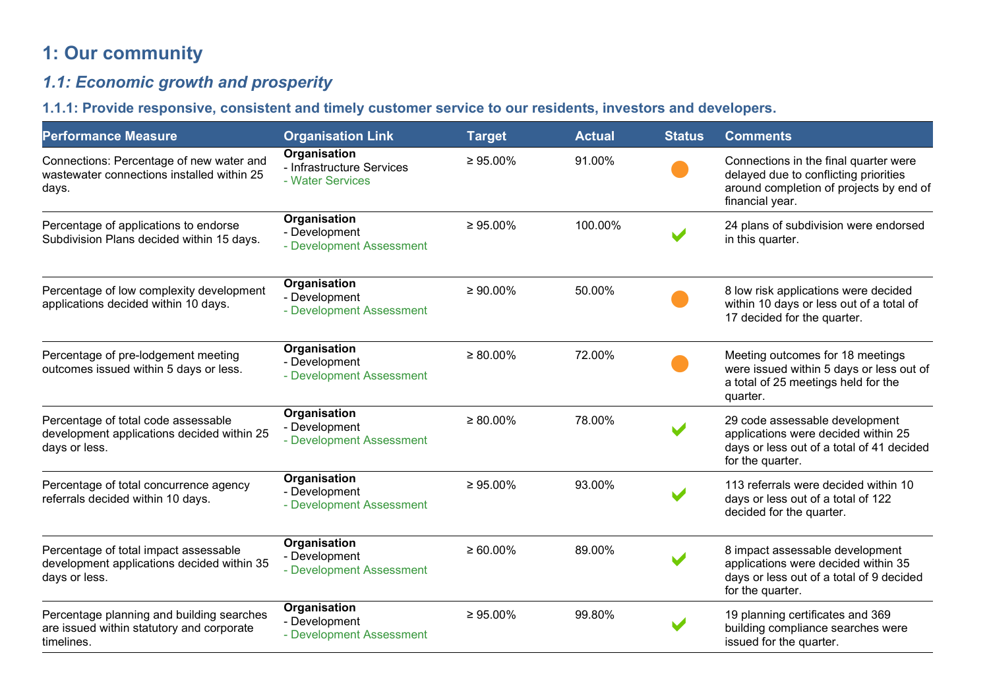# 1: Our community

# 1.1: Economic growth and prosperity

## 1.1.1: Provide responsive, consistent and timely customer service to our residents, investors and developers.

| <b>Performance Measure</b>                                                                           | <b>Organisation Link</b>                                      | <b>Target</b>  | <b>Actual</b> | <b>Status</b> | <b>Comments</b>                                                                                                                              |
|------------------------------------------------------------------------------------------------------|---------------------------------------------------------------|----------------|---------------|---------------|----------------------------------------------------------------------------------------------------------------------------------------------|
| Connections: Percentage of new water and<br>wastewater connections installed within 25<br>days.      | Organisation<br>- Infrastructure Services<br>- Water Services | $\geq 95.00\%$ | 91.00%        |               | Connections in the final quarter were<br>delayed due to conflicting priorities<br>around completion of projects by end of<br>financial year. |
| Percentage of applications to endorse<br>Subdivision Plans decided within 15 days.                   | Organisation<br>- Development<br>- Development Assessment     | $\geq 95.00\%$ | 100.00%       |               | 24 plans of subdivision were endorsed<br>in this quarter.                                                                                    |
| Percentage of low complexity development<br>applications decided within 10 days.                     | Organisation<br>- Development<br>- Development Assessment     | $\geq 90.00\%$ | 50.00%        |               | 8 low risk applications were decided<br>within 10 days or less out of a total of<br>17 decided for the quarter.                              |
| Percentage of pre-lodgement meeting<br>outcomes issued within 5 days or less.                        | Organisation<br>- Development<br>- Development Assessment     | $\geq 80.00\%$ | 72.00%        |               | Meeting outcomes for 18 meetings<br>were issued within 5 days or less out of<br>a total of 25 meetings held for the<br>quarter.              |
| Percentage of total code assessable<br>development applications decided within 25<br>days or less.   | Organisation<br>- Development<br>- Development Assessment     | $\geq 80.00\%$ | 78.00%        |               | 29 code assessable development<br>applications were decided within 25<br>days or less out of a total of 41 decided<br>for the quarter.       |
| Percentage of total concurrence agency<br>referrals decided within 10 days.                          | Organisation<br>- Development<br>- Development Assessment     | $\geq 95.00\%$ | 93.00%        |               | 113 referrals were decided within 10<br>days or less out of a total of 122<br>decided for the quarter.                                       |
| Percentage of total impact assessable<br>development applications decided within 35<br>days or less. | Organisation<br>- Development<br>- Development Assessment     | $\geq 60.00\%$ | 89.00%        |               | 8 impact assessable development<br>applications were decided within 35<br>days or less out of a total of 9 decided<br>for the quarter.       |
| Percentage planning and building searches<br>are issued within statutory and corporate<br>timelines. | Organisation<br>- Development<br>- Development Assessment     | $\geq 95.00\%$ | 99.80%        |               | 19 planning certificates and 369<br>building compliance searches were<br>issued for the quarter.                                             |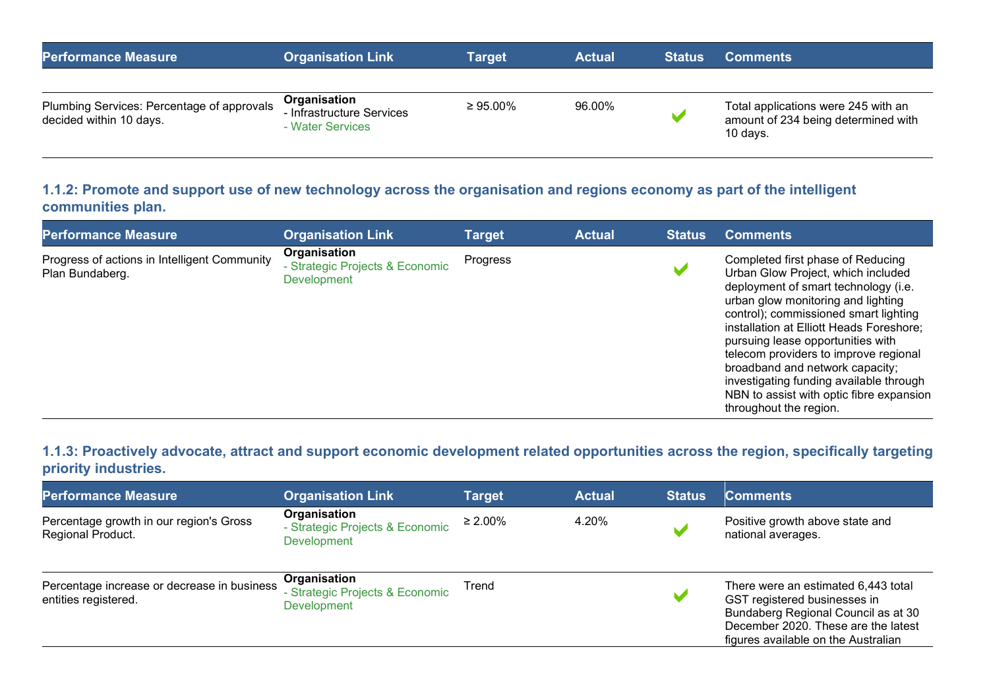| <b>Performance Measure</b>                                            | <b>Organisation Link</b>                                      | Target         | <b>Actual</b> | <b>Status</b> | <b>Comments</b>                                                                          |
|-----------------------------------------------------------------------|---------------------------------------------------------------|----------------|---------------|---------------|------------------------------------------------------------------------------------------|
| Plumbing Services: Percentage of approvals<br>decided within 10 days. | Organisation<br>- Infrastructure Services<br>- Water Services | $\geq 95.00\%$ | 96.00%        |               | Total applications were 245 with an<br>amount of 234 being determined with<br>$10$ days. |

1.1.2: Promote and support use of new technology across the organisation and regions economy as part of the intelligent communities plan.

| <b>Performance Measure</b>                                      | <b>Organisation Link</b>                                       | <b>Target</b> | <b>Actual</b> | <b>Status</b> | <b>Comments</b>                                                                                                                                                                                                                                                                                                                                                                                                                                                              |
|-----------------------------------------------------------------|----------------------------------------------------------------|---------------|---------------|---------------|------------------------------------------------------------------------------------------------------------------------------------------------------------------------------------------------------------------------------------------------------------------------------------------------------------------------------------------------------------------------------------------------------------------------------------------------------------------------------|
| Progress of actions in Intelligent Community<br>Plan Bundaberg. | Organisation<br>- Strategic Projects & Economic<br>Development | Progress      |               |               | Completed first phase of Reducing<br>Urban Glow Project, which included<br>deployment of smart technology (i.e.<br>urban glow monitoring and lighting<br>control); commissioned smart lighting<br>installation at Elliott Heads Foreshore;<br>pursuing lease opportunities with<br>telecom providers to improve regional<br>broadband and network capacity;<br>investigating funding available through<br>NBN to assist with optic fibre expansion<br>throughout the region. |

1.1.3: Proactively advocate, attract and support economic development related opportunities across the region, specifically targeting priority industries.

| <b>Performance Measure</b>                                          | <b>Organisation Link</b>                                              | <b>Target</b> | <b>Actual</b> | <b>Status</b> | <b>Comments</b>                                                                                                                                                                          |
|---------------------------------------------------------------------|-----------------------------------------------------------------------|---------------|---------------|---------------|------------------------------------------------------------------------------------------------------------------------------------------------------------------------------------------|
| Percentage growth in our region's Gross<br>Regional Product.        | Organisation<br>- Strategic Projects & Economic<br><b>Development</b> | $\geq 2.00\%$ | 4.20%         |               | Positive growth above state and<br>national averages.                                                                                                                                    |
| Percentage increase or decrease in business<br>entities registered. | Organisation<br>- Strategic Projects & Economic<br><b>Development</b> | Trend         |               |               | There were an estimated 6,443 total<br>GST registered businesses in<br>Bundaberg Regional Council as at 30<br>December 2020. These are the latest<br>figures available on the Australian |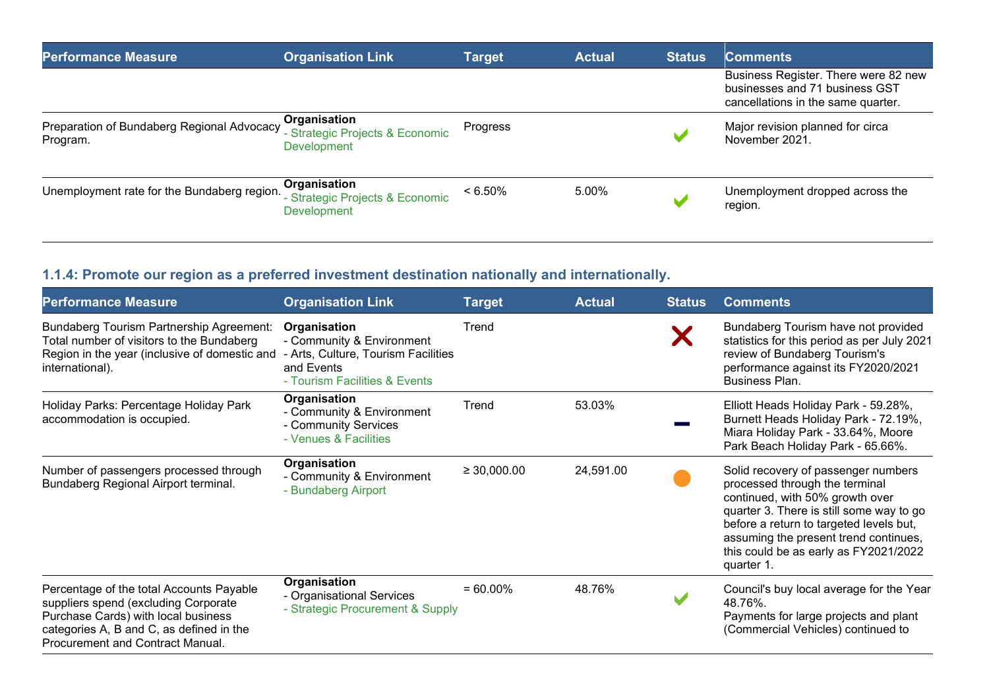| <b>Performance Measure</b>                             | <b>Organisation Link</b>                                       | <b>Target</b> | <b>Actual</b> | <b>Status</b> | <b>Comments</b>                                                                                              |
|--------------------------------------------------------|----------------------------------------------------------------|---------------|---------------|---------------|--------------------------------------------------------------------------------------------------------------|
|                                                        |                                                                |               |               |               | Business Register. There were 82 new<br>businesses and 71 business GST<br>cancellations in the same quarter. |
| Preparation of Bundaberg Regional Advocacy<br>Program. | Organisation<br>- Strategic Projects & Economic<br>Development | Progress      |               |               | Major revision planned for circa<br>November 2021                                                            |
| Unemployment rate for the Bundaberg region.            | Organisation<br>- Strategic Projects & Economic<br>Development | $< 6.50\%$    | 5.00%         |               | Unemployment dropped across the<br>region.                                                                   |

# 1.1.4: Promote our region as a preferred investment destination nationally and internationally.

| <b>Performance Measure</b>                                                                                                                                                                              | <b>Organisation Link</b>                                                                                                        | <b>Target</b>    | <b>Actual</b> | <b>Status</b> | <b>Comments</b>                                                                                                                                                                                                                                                                                 |
|---------------------------------------------------------------------------------------------------------------------------------------------------------------------------------------------------------|---------------------------------------------------------------------------------------------------------------------------------|------------------|---------------|---------------|-------------------------------------------------------------------------------------------------------------------------------------------------------------------------------------------------------------------------------------------------------------------------------------------------|
| Bundaberg Tourism Partnership Agreement:<br>Total number of visitors to the Bundaberg<br>Region in the year (inclusive of domestic and<br>international).                                               | Organisation<br>- Community & Environment<br>- Arts, Culture, Tourism Facilities<br>and Events<br>- Tourism Facilities & Events | Trend            |               | Х             | Bundaberg Tourism have not provided<br>statistics for this period as per July 2021<br>review of Bundaberg Tourism's<br>performance against its FY2020/2021<br>Business Plan.                                                                                                                    |
| Holiday Parks: Percentage Holiday Park<br>accommodation is occupied.                                                                                                                                    | Organisation<br>- Community & Environment<br>- Community Services<br>- Venues & Facilities                                      | Trend            | 53.03%        |               | Elliott Heads Holiday Park - 59.28%,<br>Burnett Heads Holiday Park - 72.19%,<br>Miara Holiday Park - 33.64%, Moore<br>Park Beach Holiday Park - 65.66%.                                                                                                                                         |
| Number of passengers processed through<br>Bundaberg Regional Airport terminal.                                                                                                                          | Organisation<br>- Community & Environment<br>- Bundaberg Airport                                                                | $\geq 30,000.00$ | 24,591.00     |               | Solid recovery of passenger numbers<br>processed through the terminal<br>continued, with 50% growth over<br>quarter 3. There is still some way to go<br>before a return to targeted levels but,<br>assuming the present trend continues,<br>this could be as early as FY2021/2022<br>quarter 1. |
| Percentage of the total Accounts Payable<br>suppliers spend (excluding Corporate<br>Purchase Cards) with local business<br>categories A, B and C, as defined in the<br>Procurement and Contract Manual. | Organisation<br>- Organisational Services<br>- Strategic Procurement & Supply                                                   | $= 60.00\%$      | 48.76%        |               | Council's buy local average for the Year<br>48.76%.<br>Payments for large projects and plant<br>(Commercial Vehicles) continued to                                                                                                                                                              |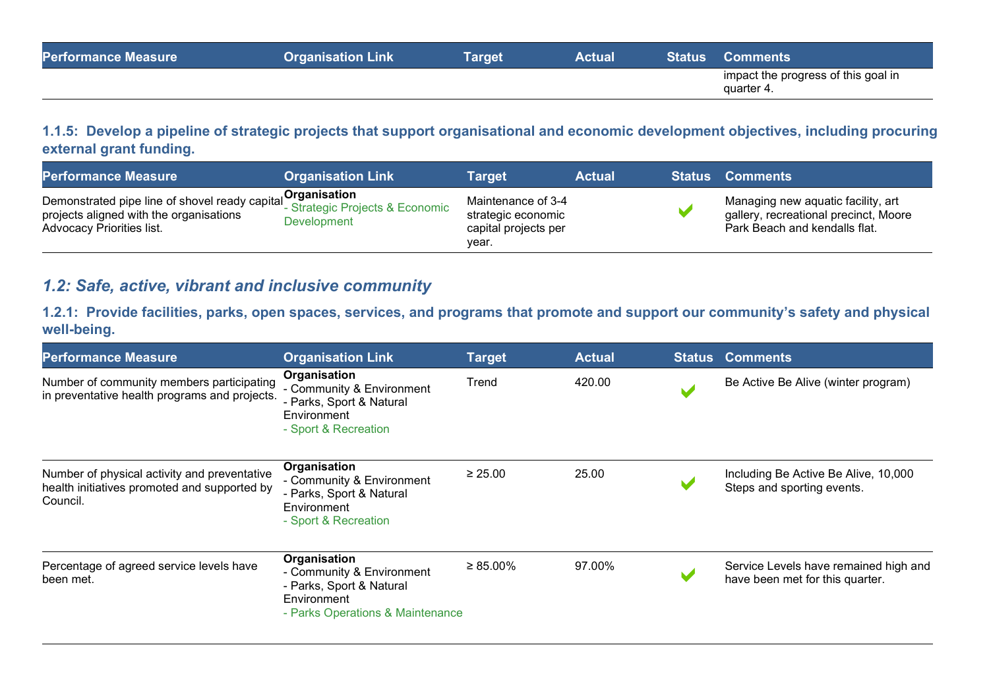| <b>Performance Measure</b> | <b>Organisation Link</b> | Target | <b>Actual</b> | <b>Status Comments</b>                            |
|----------------------------|--------------------------|--------|---------------|---------------------------------------------------|
|                            |                          |        |               | impact the progress of this goal in<br>quarter 4. |

#### 1.1.5: Develop a pipeline of strategic projects that support organisational and economic development objectives, including procuring external grant funding.

| <b>Performance Measure</b>                                                                                                    | <b>Organisation Link</b>                                       | Tarɑet                                                                    | <b>Actual</b> | <b>Status Comments</b>                                                                                       |
|-------------------------------------------------------------------------------------------------------------------------------|----------------------------------------------------------------|---------------------------------------------------------------------------|---------------|--------------------------------------------------------------------------------------------------------------|
| Demonstrated pipe line of shovel ready capital<br>projects aligned with the organisations<br><b>Advocacy Priorities list.</b> | Organisation<br>- Strategic Projects & Economic<br>Development | Maintenance of 3-4<br>strategic economic<br>capital projects per<br>vear. |               | Managing new aquatic facility, art<br>gallery, recreational precinct, Moore<br>Park Beach and kendalls flat. |

## 1.2: Safe, active, vibrant and inclusive community

1.2.1: Provide facilities, parks, open spaces, services, and programs that promote and support our community's safety and physical well-being.

| <b>Performance Measure</b>                                                                               | <b>Organisation Link</b>                                                                                                 | <b>Target</b>  | <b>Actual</b> | <b>Status Comments</b>                                                   |
|----------------------------------------------------------------------------------------------------------|--------------------------------------------------------------------------------------------------------------------------|----------------|---------------|--------------------------------------------------------------------------|
| Number of community members participating<br>in preventative health programs and projects.               | Organisation<br>- Community & Environment<br>- Parks, Sport & Natural<br>Environment<br>- Sport & Recreation             | Trend          | 420.00        | Be Active Be Alive (winter program)                                      |
| Number of physical activity and preventative<br>health initiatives promoted and supported by<br>Council. | Organisation<br>- Community & Environment<br>- Parks, Sport & Natural<br>Environment<br>- Sport & Recreation             | $\geq 25.00$   | 25.00         | Including Be Active Be Alive, 10,000<br>Steps and sporting events.       |
| Percentage of agreed service levels have<br>been met.                                                    | Organisation<br>- Community & Environment<br>- Parks, Sport & Natural<br>Environment<br>- Parks Operations & Maintenance | $\geq 85.00\%$ | 97.00%        | Service Levels have remained high and<br>have been met for this quarter. |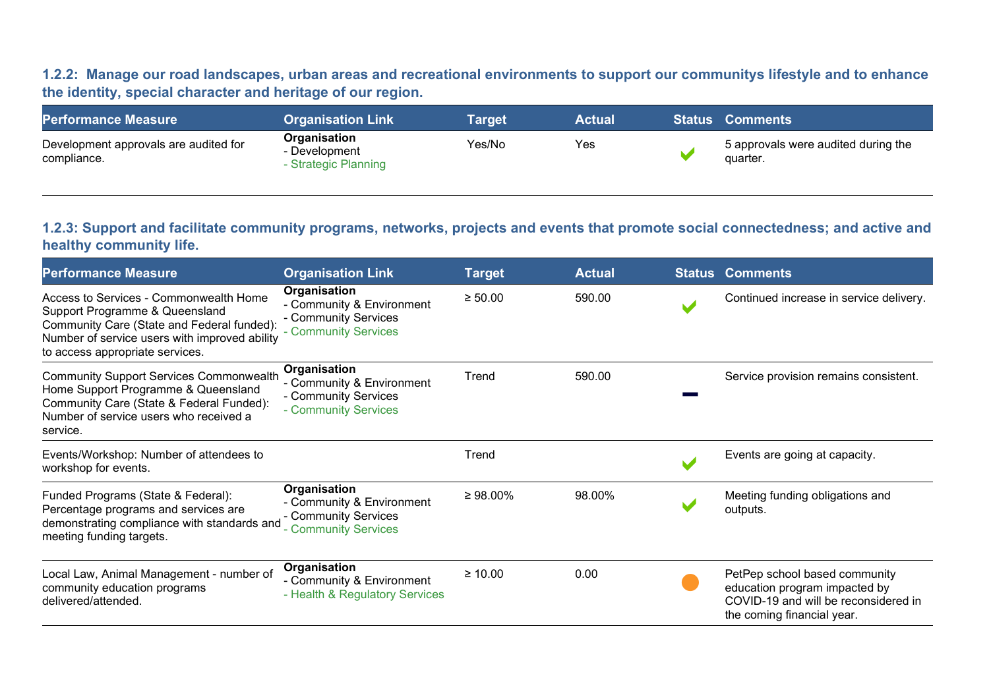1.2.2: Manage our road landscapes, urban areas and recreational environments to support our communitys lifestyle and to enhance the identity, special character and heritage of our region.

| <b>Performance Measure</b>                           | <b>Organisation Link</b>                              | Target | <b>Actual</b> | <b>Status Comments</b>                          |
|------------------------------------------------------|-------------------------------------------------------|--------|---------------|-------------------------------------------------|
| Development approvals are audited for<br>compliance. | Organisation<br>- Development<br>- Strategic Planning | Yes/No | Yes           | 5 approvals were audited during the<br>quarter. |

#### 1.2.3: Support and facilitate community programs, networks, projects and events that promote social connectedness; and active and healthy community life.

| <b>Performance Measure</b>                                                                                                                                                                                 | <b>Organisation Link</b>                                                                  | <b>Target</b>  | <b>Actual</b> | <b>Status Comments</b>                                                                                                               |
|------------------------------------------------------------------------------------------------------------------------------------------------------------------------------------------------------------|-------------------------------------------------------------------------------------------|----------------|---------------|--------------------------------------------------------------------------------------------------------------------------------------|
| Access to Services - Commonwealth Home<br>Support Programme & Queensland<br>Community Care (State and Federal funded):<br>Number of service users with improved ability<br>to access appropriate services. | Organisation<br>- Community & Environment<br>- Community Services<br>- Community Services | $\geq 50.00$   | 590.00        | Continued increase in service delivery.                                                                                              |
| <b>Community Support Services Commonwealth</b><br>Home Support Programme & Queensland<br>Community Care (State & Federal Funded):<br>Number of service users who received a<br>service.                    | Organisation<br>- Community & Environment<br>- Community Services<br>- Community Services | Trend          | 590.00        | Service provision remains consistent.                                                                                                |
| Events/Workshop: Number of attendees to<br>workshop for events.                                                                                                                                            |                                                                                           | Trend          |               | Events are going at capacity.                                                                                                        |
| Funded Programs (State & Federal):<br>Percentage programs and services are<br>demonstrating compliance with standards and<br>meeting funding targets.                                                      | Organisation<br>- Community & Environment<br>- Community Services<br>- Community Services | $\geq 98.00\%$ | 98.00%        | Meeting funding obligations and<br>outputs.                                                                                          |
| Local Law, Animal Management - number of<br>community education programs<br>delivered/attended.                                                                                                            | Organisation<br>- Community & Environment<br>- Health & Regulatory Services               | $\geq 10.00$   | 0.00          | PetPep school based community<br>education program impacted by<br>COVID-19 and will be reconsidered in<br>the coming financial year. |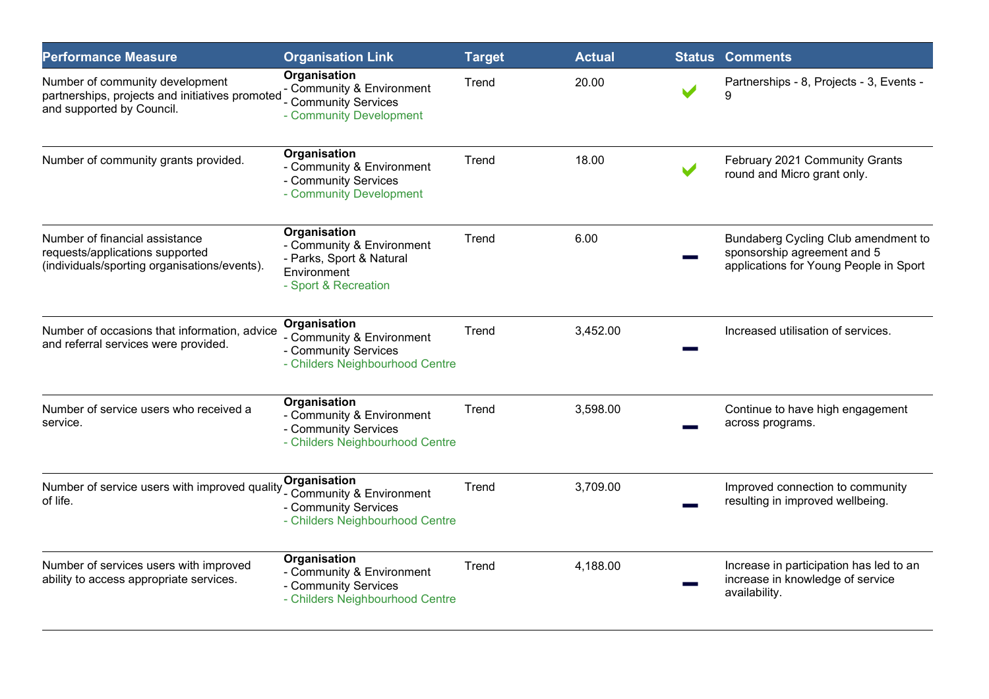| <b>Performance Measure</b>                                                                                        | <b>Organisation Link</b>                                                                                     | <b>Target</b> | <b>Actual</b> | <b>Status Comments</b>                                                                                       |
|-------------------------------------------------------------------------------------------------------------------|--------------------------------------------------------------------------------------------------------------|---------------|---------------|--------------------------------------------------------------------------------------------------------------|
| Number of community development<br>partnerships, projects and initiatives promoted<br>and supported by Council.   | Organisation<br>- Community & Environment<br>Community Services<br>- Community Development                   | Trend         | 20.00         | Partnerships - 8, Projects - 3, Events -                                                                     |
| Number of community grants provided.                                                                              | Organisation<br>- Community & Environment<br>- Community Services<br>- Community Development                 | Trend         | 18.00         | February 2021 Community Grants<br>round and Micro grant only.                                                |
| Number of financial assistance<br>requests/applications supported<br>(individuals/sporting organisations/events). | Organisation<br>- Community & Environment<br>- Parks, Sport & Natural<br>Environment<br>- Sport & Recreation | Trend         | 6.00          | Bundaberg Cycling Club amendment to<br>sponsorship agreement and 5<br>applications for Young People in Sport |
| Number of occasions that information, advice<br>and referral services were provided.                              | Organisation<br>- Community & Environment<br>- Community Services<br>- Childers Neighbourhood Centre         | Trend         | 3,452.00      | Increased utilisation of services.                                                                           |
| Number of service users who received a<br>service.                                                                | Organisation<br>- Community & Environment<br>- Community Services<br>- Childers Neighbourhood Centre         | Trend         | 3,598.00      | Continue to have high engagement<br>across programs.                                                         |
| Number of service users with improved quality<br>of life.                                                         | Organisation<br>- Community & Environment<br>- Community Services<br>- Childers Neighbourhood Centre         | Trend         | 3,709.00      | Improved connection to community<br>resulting in improved wellbeing.                                         |
| Number of services users with improved<br>ability to access appropriate services.                                 | Organisation<br>- Community & Environment<br>- Community Services<br>- Childers Neighbourhood Centre         | Trend         | 4,188.00      | Increase in participation has led to an<br>increase in knowledge of service<br>availability.                 |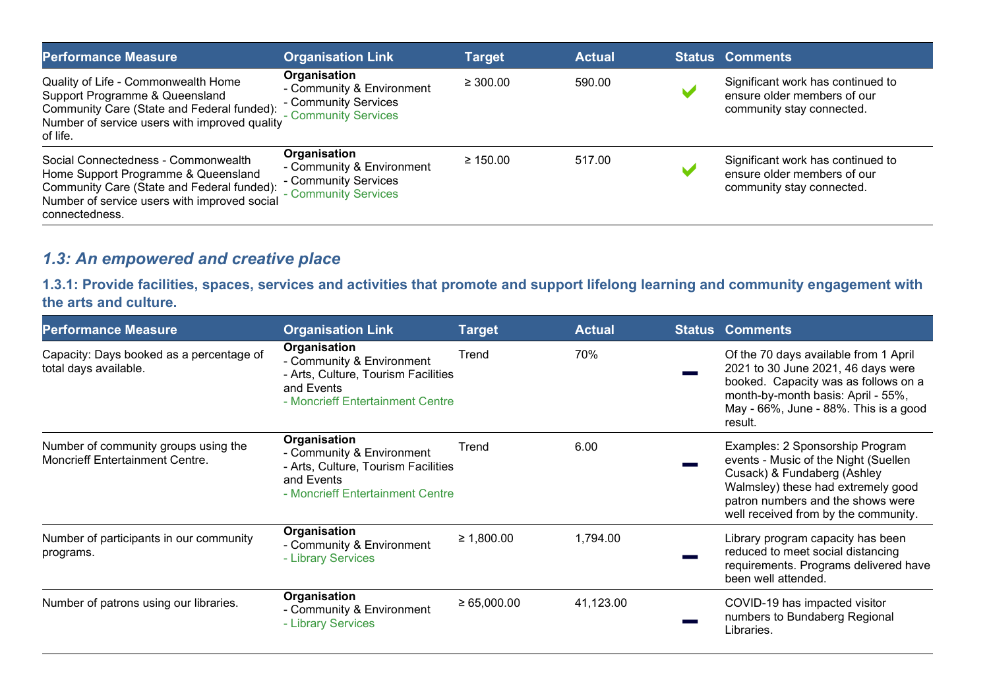| <b>Performance Measure</b>                                                                                                                                                                 | <b>Organisation Link</b>                                                                  | <b>Target</b> | <b>Actual</b> | <b>Status Comments</b>                                                                        |
|--------------------------------------------------------------------------------------------------------------------------------------------------------------------------------------------|-------------------------------------------------------------------------------------------|---------------|---------------|-----------------------------------------------------------------------------------------------|
| Quality of Life - Commonwealth Home<br>Support Programme & Queensland<br>Community Care (State and Federal funded):<br>Number of service users with improved quality<br>of life.           | Organisation<br>- Community & Environment<br>- Community Services<br>- Community Services | $\geq 300.00$ | 590.00        | Significant work has continued to<br>ensure older members of our<br>community stay connected. |
| Social Connectedness - Commonwealth<br>Home Support Programme & Queensland<br>Community Care (State and Federal funded):<br>Number of service users with improved social<br>connectedness. | Organisation<br>- Community & Environment<br>- Community Services<br>- Community Services | $\geq 150.00$ | 517.00        | Significant work has continued to<br>ensure older members of our<br>community stay connected. |

# 1.3: An empowered and creative place

1.3.1: Provide facilities, spaces, services and activities that promote and support lifelong learning and community engagement with the arts and culture.

| <b>Performance Measure</b>                                                     | <b>Organisation Link</b>                                                                                                           | <b>Target</b>   | <b>Actual</b> | <b>Status Comments</b>                                                                                                                                                                                                    |
|--------------------------------------------------------------------------------|------------------------------------------------------------------------------------------------------------------------------------|-----------------|---------------|---------------------------------------------------------------------------------------------------------------------------------------------------------------------------------------------------------------------------|
| Capacity: Days booked as a percentage of<br>total days available.              | Organisation<br>- Community & Environment<br>- Arts, Culture, Tourism Facilities<br>and Events<br>- Moncrieff Entertainment Centre | Trend           | 70%           | Of the 70 days available from 1 April<br>2021 to 30 June 2021, 46 days were<br>booked. Capacity was as follows on a<br>month-by-month basis: April - 55%,<br>May - 66%, June - 88%. This is a good<br>result.             |
| Number of community groups using the<br><b>Moncrieff Entertainment Centre.</b> | Organisation<br>- Community & Environment<br>- Arts, Culture, Tourism Facilities<br>and Events<br>- Moncrieff Entertainment Centre | Trend           | 6.00          | Examples: 2 Sponsorship Program<br>events - Music of the Night (Suellen<br>Cusack) & Fundaberg (Ashley<br>Walmsley) these had extremely good<br>patron numbers and the shows were<br>well received from by the community. |
| Number of participants in our community<br>programs.                           | Organisation<br>- Community & Environment<br>- Library Services                                                                    | ≥ 1,800.00      | 1,794.00      | Library program capacity has been<br>reduced to meet social distancing<br>requirements. Programs delivered have<br>been well attended.                                                                                    |
| Number of patrons using our libraries.                                         | Organisation<br>- Community & Environment<br>- Library Services                                                                    | $\ge 65,000.00$ | 41,123.00     | COVID-19 has impacted visitor<br>numbers to Bundaberg Regional<br>Libraries.                                                                                                                                              |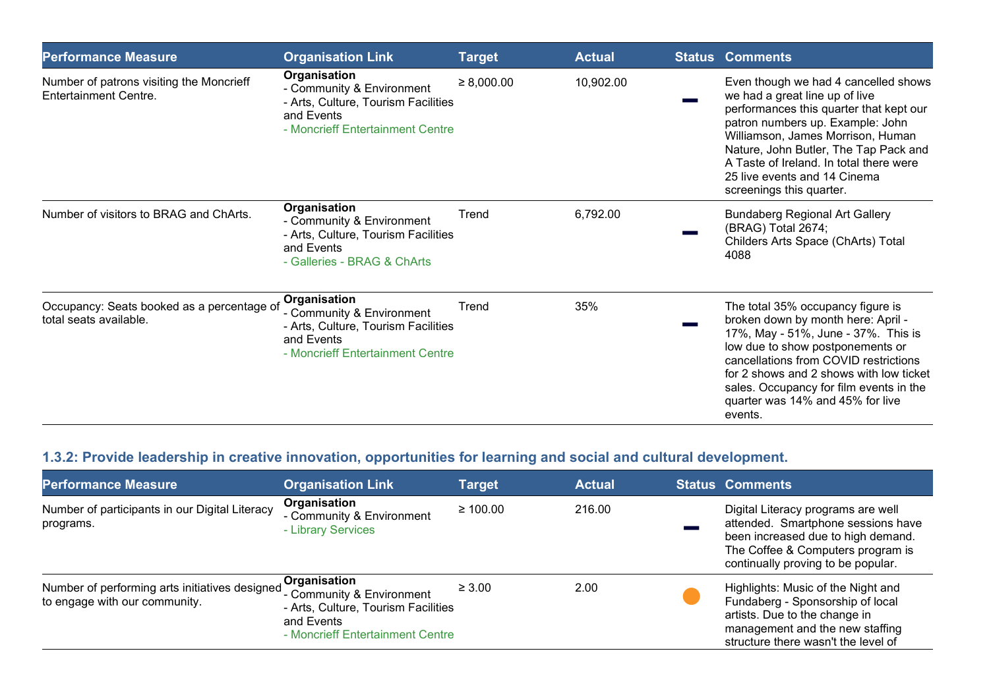| <b>Performance Measure</b>                                               | <b>Organisation Link</b>                                                                                                           | <b>Target</b>   | <b>Actual</b> | <b>Status Comments</b>                                                                                                                                                                                                                                                                                                                     |
|--------------------------------------------------------------------------|------------------------------------------------------------------------------------------------------------------------------------|-----------------|---------------|--------------------------------------------------------------------------------------------------------------------------------------------------------------------------------------------------------------------------------------------------------------------------------------------------------------------------------------------|
| Number of patrons visiting the Moncrieff<br><b>Entertainment Centre.</b> | Organisation<br>- Community & Environment<br>- Arts, Culture, Tourism Facilities<br>and Events<br>- Moncrieff Entertainment Centre | $\geq 8,000.00$ | 10,902.00     | Even though we had 4 cancelled shows<br>we had a great line up of live<br>performances this quarter that kept our<br>patron numbers up. Example: John<br>Williamson, James Morrison, Human<br>Nature, John Butler, The Tap Pack and<br>A Taste of Ireland. In total there were<br>25 live events and 14 Cinema<br>screenings this quarter. |
| Number of visitors to BRAG and ChArts.                                   | Organisation<br>- Community & Environment<br>- Arts, Culture, Tourism Facilities<br>and Events<br>- Galleries - BRAG & ChArts      | Trend           | 6,792.00      | <b>Bundaberg Regional Art Gallery</b><br>(BRAG) Total 2674;<br>Childers Arts Space (ChArts) Total<br>4088                                                                                                                                                                                                                                  |
| Occupancy: Seats booked as a percentage of<br>total seats available.     | Organisation<br>- Community & Environment<br>- Arts, Culture, Tourism Facilities<br>and Events<br>- Moncrieff Entertainment Centre | Trend           | 35%           | The total 35% occupancy figure is<br>broken down by month here: April -<br>17%, May - 51%, June - 37%. This is<br>low due to show postponements or<br>cancellations from COVID restrictions<br>for 2 shows and 2 shows with low ticket<br>sales. Occupancy for film events in the<br>quarter was 14% and 45% for live<br>events.           |

# 1.3.2: Provide leadership in creative innovation, opportunities for learning and social and cultural development.

| <b>Performance Measure</b>                                                      | <b>Organisation Link</b>                                                                                                           | <b>Target</b> | <b>Actual</b> | <b>Status Comments</b>                                                                                                                                                                    |
|---------------------------------------------------------------------------------|------------------------------------------------------------------------------------------------------------------------------------|---------------|---------------|-------------------------------------------------------------------------------------------------------------------------------------------------------------------------------------------|
| Number of participants in our Digital Literacy<br>programs.                     | Organisation<br>- Community & Environment<br>- Library Services                                                                    | $\geq 100.00$ | 216.00        | Digital Literacy programs are well<br>attended. Smartphone sessions have<br>been increased due to high demand.<br>The Coffee & Computers program is<br>continually proving to be popular. |
| Number of performing arts initiatives designed<br>to engage with our community. | Organisation<br>- Community & Environment<br>- Arts, Culture, Tourism Facilities<br>and Events<br>- Moncrieff Entertainment Centre | $\geq 3.00$   | 2.00          | Highlights: Music of the Night and<br>Fundaberg - Sponsorship of local<br>artists. Due to the change in<br>management and the new staffing<br>structure there wasn't the level of         |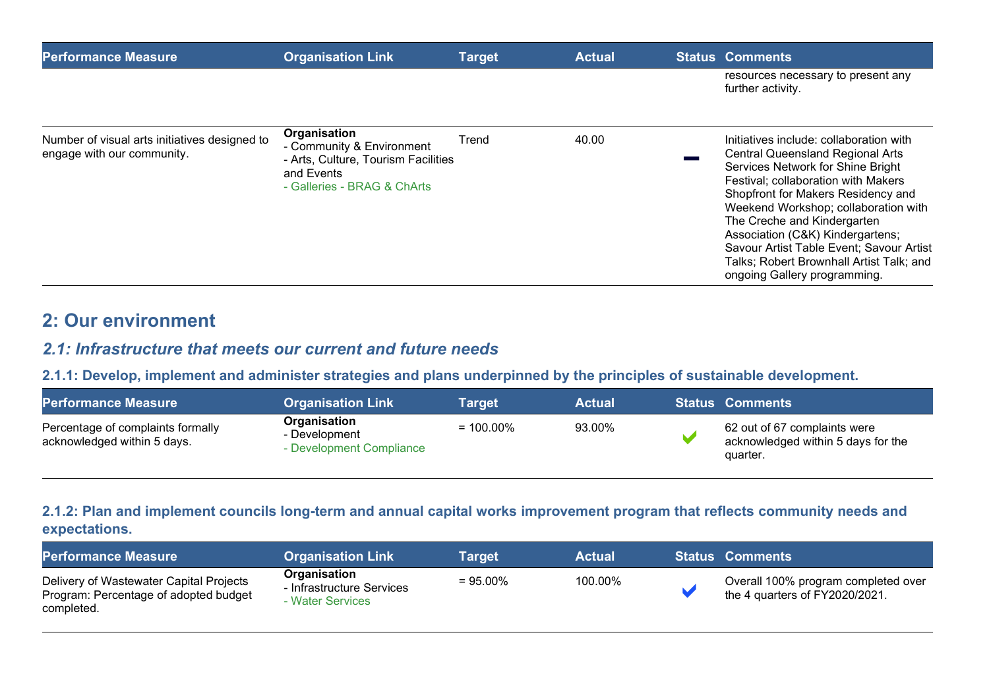| <b>Performance Measure</b>                                                  | Organisation Link                                                                                                             | <b>Target</b> | <b>Actual</b> | <b>Status Comments</b>                                                                                                                                                                                                                                                                                                                                                                                                                  |
|-----------------------------------------------------------------------------|-------------------------------------------------------------------------------------------------------------------------------|---------------|---------------|-----------------------------------------------------------------------------------------------------------------------------------------------------------------------------------------------------------------------------------------------------------------------------------------------------------------------------------------------------------------------------------------------------------------------------------------|
|                                                                             |                                                                                                                               |               |               | resources necessary to present any<br>further activity.                                                                                                                                                                                                                                                                                                                                                                                 |
| Number of visual arts initiatives designed to<br>engage with our community. | Organisation<br>- Community & Environment<br>- Arts, Culture, Tourism Facilities<br>and Events<br>- Galleries - BRAG & ChArts | Trend         | 40.00         | Initiatives include: collaboration with<br><b>Central Queensland Regional Arts</b><br>Services Network for Shine Bright<br>Festival; collaboration with Makers<br>Shopfront for Makers Residency and<br>Weekend Workshop; collaboration with<br>The Creche and Kindergarten<br>Association (C&K) Kindergartens;<br>Savour Artist Table Event; Savour Artist<br>Talks; Robert Brownhall Artist Talk; and<br>ongoing Gallery programming. |

# 2: Our environment

### 2.1: Infrastructure that meets our current and future needs

#### 2.1.1: Develop, implement and administer strategies and plans underpinned by the principles of sustainable development.

| <b>Performance Measure</b>                                       | <b>Organisation Link</b>                                  | Target       | <b>Actual</b> | <b>Status Comments</b>                                                         |
|------------------------------------------------------------------|-----------------------------------------------------------|--------------|---------------|--------------------------------------------------------------------------------|
| Percentage of complaints formally<br>acknowledged within 5 days. | Organisation<br>- Development<br>- Development Compliance | $= 100.00\%$ | 93.00%        | 62 out of 67 complaints were<br>acknowledged within 5 days for the<br>quarter. |

#### 2.1.2: Plan and implement councils long-term and annual capital works improvement program that reflects community needs and expectations.

| <b>Performance Measure</b>                                                                     | <b>Organisation Link</b>                                      | Target      | <b>Actual</b> | <b>Status Comments</b>                                                |
|------------------------------------------------------------------------------------------------|---------------------------------------------------------------|-------------|---------------|-----------------------------------------------------------------------|
| Delivery of Wastewater Capital Projects<br>Program: Percentage of adopted budget<br>completed. | Organisation<br>- Infrastructure Services<br>- Water Services | $= 95.00\%$ | 100.00%       | Overall 100% program completed over<br>the 4 quarters of FY2020/2021. |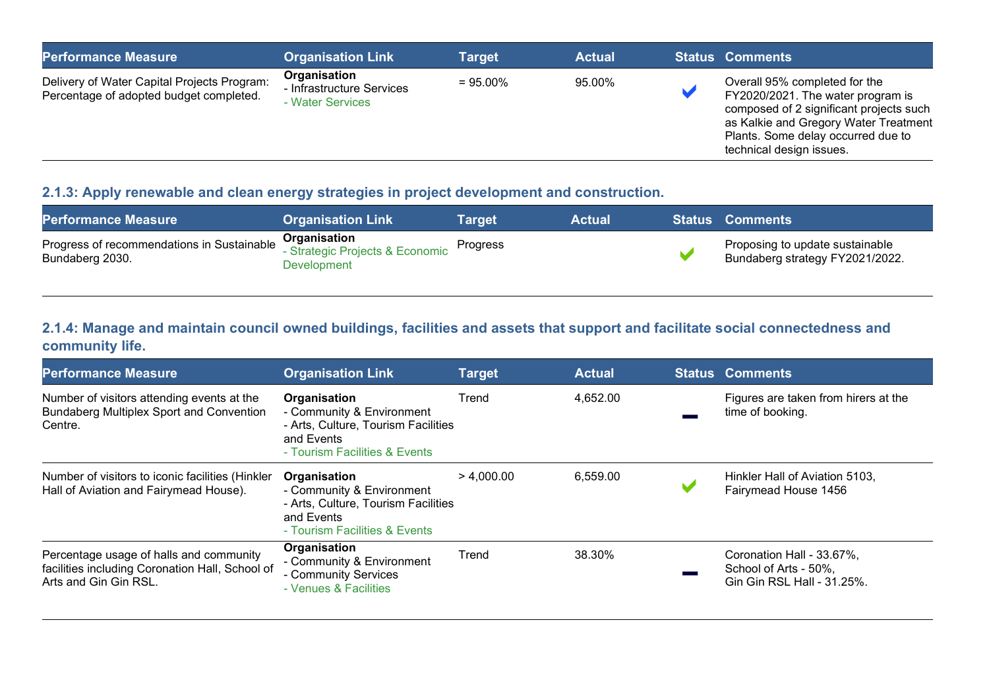| <b>Performance Measure</b>                                                             | <b>Organisation Link</b>                                      | <b>Target</b> | <b>Actual</b> | <b>Status Comments</b>                                                                                                                                                                                                   |
|----------------------------------------------------------------------------------------|---------------------------------------------------------------|---------------|---------------|--------------------------------------------------------------------------------------------------------------------------------------------------------------------------------------------------------------------------|
| Delivery of Water Capital Projects Program:<br>Percentage of adopted budget completed. | Organisation<br>- Infrastructure Services<br>- Water Services | $= 95.00\%$   | 95.00%        | Overall 95% completed for the<br>FY2020/2021. The water program is<br>composed of 2 significant projects such<br>as Kalkie and Gregory Water Treatment<br>Plants. Some delay occurred due to<br>technical design issues. |

#### 2.1.3: Apply renewable and clean energy strategies in project development and construction.

| <b>Performance Measure</b>                                    | <b>Organisation Link</b>                                       | Target   | Actual ' | <b>Status Comments</b>                                             |
|---------------------------------------------------------------|----------------------------------------------------------------|----------|----------|--------------------------------------------------------------------|
| Progress of recommendations in Sustainable<br>Bundaberg 2030. | Organisation<br>- Strategic Projects & Economic<br>Development | Progress |          | Proposing to update sustainable<br>Bundaberg strategy FY2021/2022. |

#### 2.1.4: Manage and maintain council owned buildings, facilities and assets that support and facilitate social connectedness and community life.

| <b>Performance Measure</b>                                                                                          | <b>Organisation Link</b>                                                                                                        | <b>Target</b> | <b>Actual</b> | <b>Status Comments</b>                                                           |
|---------------------------------------------------------------------------------------------------------------------|---------------------------------------------------------------------------------------------------------------------------------|---------------|---------------|----------------------------------------------------------------------------------|
| Number of visitors attending events at the<br>Bundaberg Multiplex Sport and Convention<br>Centre.                   | Organisation<br>- Community & Environment<br>- Arts, Culture, Tourism Facilities<br>and Events<br>- Tourism Facilities & Events | Trend         | 4,652.00      | Figures are taken from hirers at the<br>time of booking.                         |
| Number of visitors to iconic facilities (Hinkler<br>Hall of Aviation and Fairymead House).                          | Organisation<br>- Community & Environment<br>- Arts, Culture, Tourism Facilities<br>and Events<br>- Tourism Facilities & Events | > 4.000.00    | 6,559.00      | Hinkler Hall of Aviation 5103,<br>Fairymead House 1456                           |
| Percentage usage of halls and community<br>facilities including Coronation Hall, School of<br>Arts and Gin Gin RSL. | Organisation<br>- Community & Environment<br>- Community Services<br>- Venues & Facilities                                      | Trend         | 38.30%        | Coronation Hall - 33.67%,<br>School of Arts - 50%,<br>Gin Gin RSL Hall - 31.25%. |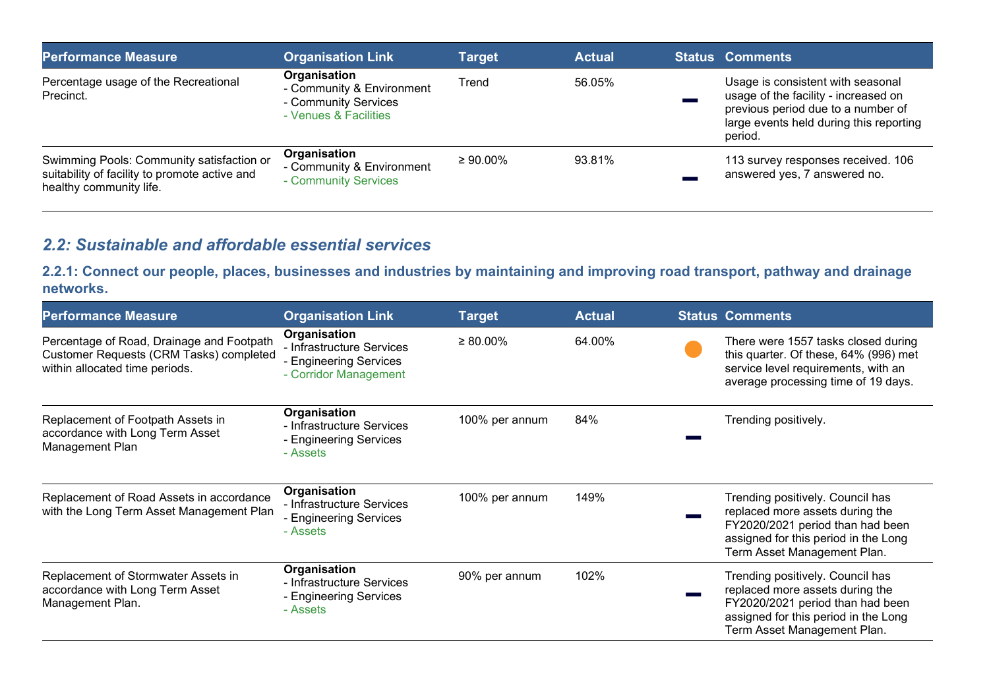| <b>Performance Measure</b>                                                                                            | <b>Organisation Link</b>                                                                   | <b>Target</b>  | <b>Actual</b> | <b>Status Comments</b>                                                                                                                                                |
|-----------------------------------------------------------------------------------------------------------------------|--------------------------------------------------------------------------------------------|----------------|---------------|-----------------------------------------------------------------------------------------------------------------------------------------------------------------------|
| Percentage usage of the Recreational<br>Precinct.                                                                     | Organisation<br>- Community & Environment<br>- Community Services<br>- Venues & Facilities | Trend          | 56.05%        | Usage is consistent with seasonal<br>usage of the facility - increased on<br>previous period due to a number of<br>large events held during this reporting<br>period. |
| Swimming Pools: Community satisfaction or<br>suitability of facility to promote active and<br>healthy community life. | Organisation<br>- Community & Environment<br>- Community Services                          | $\geq 90.00\%$ | 93.81%        | 113 survey responses received. 106<br>answered yes, 7 answered no.                                                                                                    |

## 2.2: Sustainable and affordable essential services

2.2.1: Connect our people, places, businesses and industries by maintaining and improving road transport, pathway and drainage networks.

| <b>Performance Measure</b>                                                                                             | <b>Organisation Link</b>                                                                     | <b>Target</b>  | <b>Actual</b> | <b>Status Comments</b>                                                                                                                                                         |
|------------------------------------------------------------------------------------------------------------------------|----------------------------------------------------------------------------------------------|----------------|---------------|--------------------------------------------------------------------------------------------------------------------------------------------------------------------------------|
| Percentage of Road, Drainage and Footpath<br>Customer Requests (CRM Tasks) completed<br>within allocated time periods. | Organisation<br>- Infrastructure Services<br>- Engineering Services<br>- Corridor Management | $\geq 80.00\%$ | 64.00%        | There were 1557 tasks closed during<br>this quarter. Of these, 64% (996) met<br>service level requirements, with an<br>average processing time of 19 days.                     |
| Replacement of Footpath Assets in<br>accordance with Long Term Asset<br>Management Plan                                | Organisation<br>- Infrastructure Services<br>- Engineering Services<br>- Assets              | 100% per annum | 84%           | Trending positively.                                                                                                                                                           |
| Replacement of Road Assets in accordance<br>with the Long Term Asset Management Plan                                   | Organisation<br>- Infrastructure Services<br>- Engineering Services<br>- Assets              | 100% per annum | 149%          | Trending positively. Council has<br>replaced more assets during the<br>FY2020/2021 period than had been<br>assigned for this period in the Long<br>Term Asset Management Plan. |
| Replacement of Stormwater Assets in<br>accordance with Long Term Asset<br>Management Plan.                             | Organisation<br>- Infrastructure Services<br>- Engineering Services<br>- Assets              | 90% per annum  | 102%          | Trending positively. Council has<br>replaced more assets during the<br>FY2020/2021 period than had been<br>assigned for this period in the Long<br>Term Asset Management Plan. |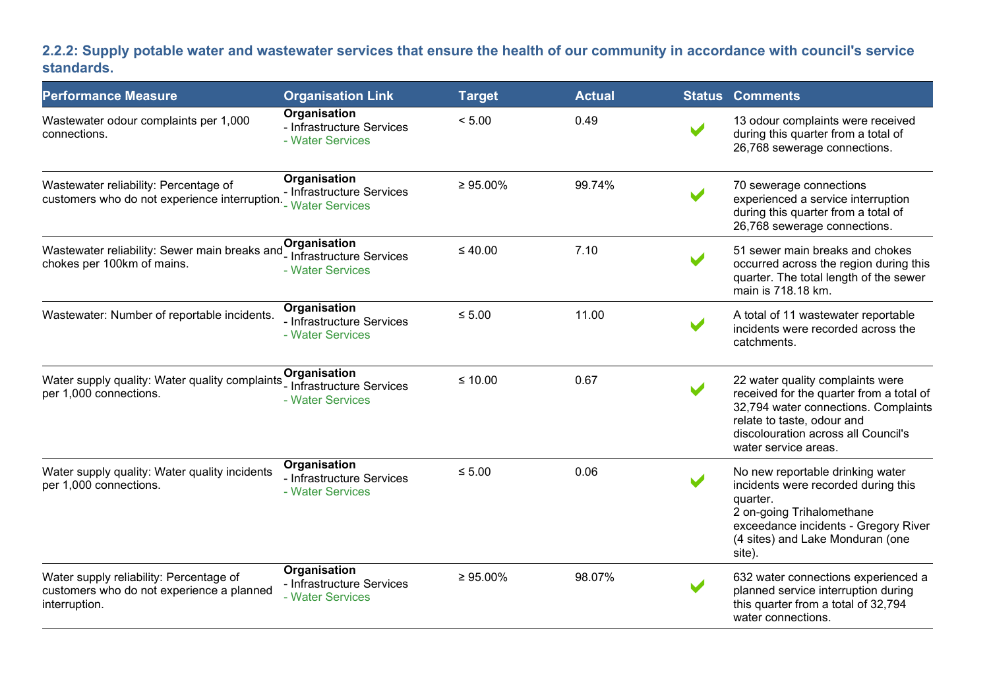#### 2.2.2: Supply potable water and wastewater services that ensure the health of our community in accordance with council's service standards.

| <b>Performance Measure</b>                                                                            | <b>Organisation Link</b>                                      | <b>Target</b>  | <b>Actual</b> |                       | <b>Status Comments</b>                                                                                                                                                                                            |
|-------------------------------------------------------------------------------------------------------|---------------------------------------------------------------|----------------|---------------|-----------------------|-------------------------------------------------------------------------------------------------------------------------------------------------------------------------------------------------------------------|
| Wastewater odour complaints per 1,000<br>connections.                                                 | Organisation<br>- Infrastructure Services<br>- Water Services | < 5.00         | 0.49          | $\blacktriangleright$ | 13 odour complaints were received<br>during this quarter from a total of<br>26,768 sewerage connections.                                                                                                          |
| Wastewater reliability: Percentage of<br>customers who do not experience interruption. Water Services | Organisation<br>- Infrastructure Services                     | $\geq 95.00\%$ | 99.74%        |                       | 70 sewerage connections<br>experienced a service interruption<br>during this quarter from a total of<br>26,768 sewerage connections.                                                                              |
| Wastewater reliability: Sewer main breaks and<br>chokes per 100km of mains.                           | Organisation<br>- Infrastructure Services<br>- Water Services | $\leq 40.00$   | 7.10          |                       | 51 sewer main breaks and chokes<br>occurred across the region during this<br>quarter. The total length of the sewer<br>main is 718.18 km.                                                                         |
| Wastewater: Number of reportable incidents.                                                           | Organisation<br>- Infrastructure Services<br>- Water Services | $\leq 5.00$    | 11.00         |                       | A total of 11 wastewater reportable<br>incidents were recorded across the<br>catchments.                                                                                                                          |
| Water supply quality: Water quality complaints<br>per 1,000 connections.                              | Organisation<br>- Infrastructure Services<br>- Water Services | $≤ 10.00$      | 0.67          |                       | 22 water quality complaints were<br>received for the quarter from a total of<br>32,794 water connections. Complaints<br>relate to taste, odour and<br>discolouration across all Council's<br>water service areas. |
| Water supply quality: Water quality incidents<br>per 1,000 connections.                               | Organisation<br>- Infrastructure Services<br>- Water Services | $\leq 5.00$    | 0.06          |                       | No new reportable drinking water<br>incidents were recorded during this<br>quarter.<br>2 on-going Trihalomethane<br>exceedance incidents - Gregory River<br>(4 sites) and Lake Monduran (one<br>site).            |
| Water supply reliability: Percentage of<br>customers who do not experience a planned<br>interruption. | Organisation<br>- Infrastructure Services<br>- Water Services | $\geq 95.00\%$ | 98.07%        | $\blacktriangleright$ | 632 water connections experienced a<br>planned service interruption during<br>this quarter from a total of 32,794<br>water connections.                                                                           |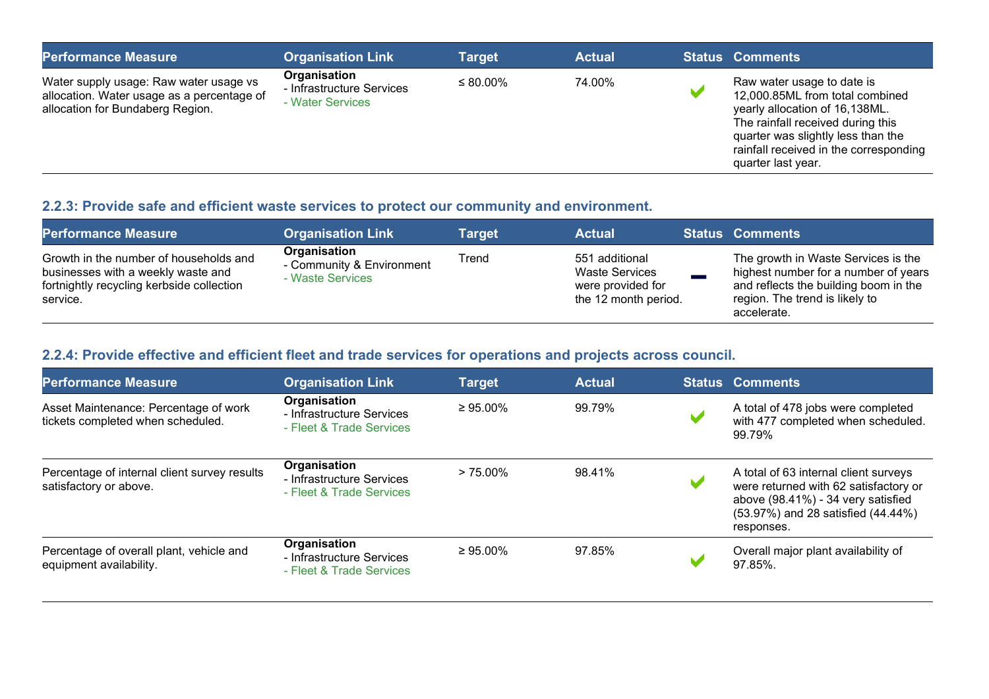| <b>Performance Measure</b>                                                                                               | <b>Organisation Link</b>                                      | <b>Target</b> | <b>Actual</b> | <b>Status Comments</b>                                                                                                                                                                                                                     |
|--------------------------------------------------------------------------------------------------------------------------|---------------------------------------------------------------|---------------|---------------|--------------------------------------------------------------------------------------------------------------------------------------------------------------------------------------------------------------------------------------------|
| Water supply usage: Raw water usage vs<br>allocation. Water usage as a percentage of<br>allocation for Bundaberg Region. | Organisation<br>- Infrastructure Services<br>- Water Services | $\leq$ 80.00% | 74.00%        | Raw water usage to date is<br>12,000.85ML from total combined<br>yearly allocation of 16,138ML.<br>The rainfall received during this<br>quarter was slightly less than the<br>rainfall received in the corresponding<br>quarter last year. |

# 2.2.3: Provide safe and efficient waste services to protect our community and environment.

| <b>Performance Measure</b>                                                                                                            | <b>Organisation Link</b>                                      | <b>Target</b> | <b>Actual</b>                                                                        | <b>Status Comments</b>                                                                                                                                                |
|---------------------------------------------------------------------------------------------------------------------------------------|---------------------------------------------------------------|---------------|--------------------------------------------------------------------------------------|-----------------------------------------------------------------------------------------------------------------------------------------------------------------------|
| Growth in the number of households and<br>businesses with a weekly waste and<br>fortnightly recycling kerbside collection<br>service. | Organisation<br>- Community & Environment<br>- Waste Services | Trend         | 551 additional<br><b>Waste Services</b><br>were provided for<br>the 12 month period. | The growth in Waste Services is the<br>highest number for a number of years<br>and reflects the building boom in the<br>region. The trend is likely to<br>accelerate. |

#### 2.2.4: Provide effective and efficient fleet and trade services for operations and projects across council.

| <b>Performance Measure</b>                                                 | <b>Organisation Link</b>                                              | <b>Target</b>  | <b>Actual</b> | <b>Status Comments</b>                                                                                                                                                   |
|----------------------------------------------------------------------------|-----------------------------------------------------------------------|----------------|---------------|--------------------------------------------------------------------------------------------------------------------------------------------------------------------------|
| Asset Maintenance: Percentage of work<br>tickets completed when scheduled. | Organisation<br>- Infrastructure Services<br>- Fleet & Trade Services | $\geq 95.00\%$ | 99.79%        | A total of 478 jobs were completed<br>with 477 completed when scheduled.<br>99.79%                                                                                       |
| Percentage of internal client survey results<br>satisfactory or above.     | Organisation<br>- Infrastructure Services<br>- Fleet & Trade Services | $> 75.00\%$    | 98.41%        | A total of 63 internal client surveys<br>were returned with 62 satisfactory or<br>above (98.41%) - 34 very satisfied<br>(53.97%) and 28 satisfied (44.44%)<br>responses. |
| Percentage of overall plant, vehicle and<br>equipment availability.        | Organisation<br>- Infrastructure Services<br>- Fleet & Trade Services | $\geq 95.00\%$ | 97.85%        | Overall major plant availability of<br>97.85%.                                                                                                                           |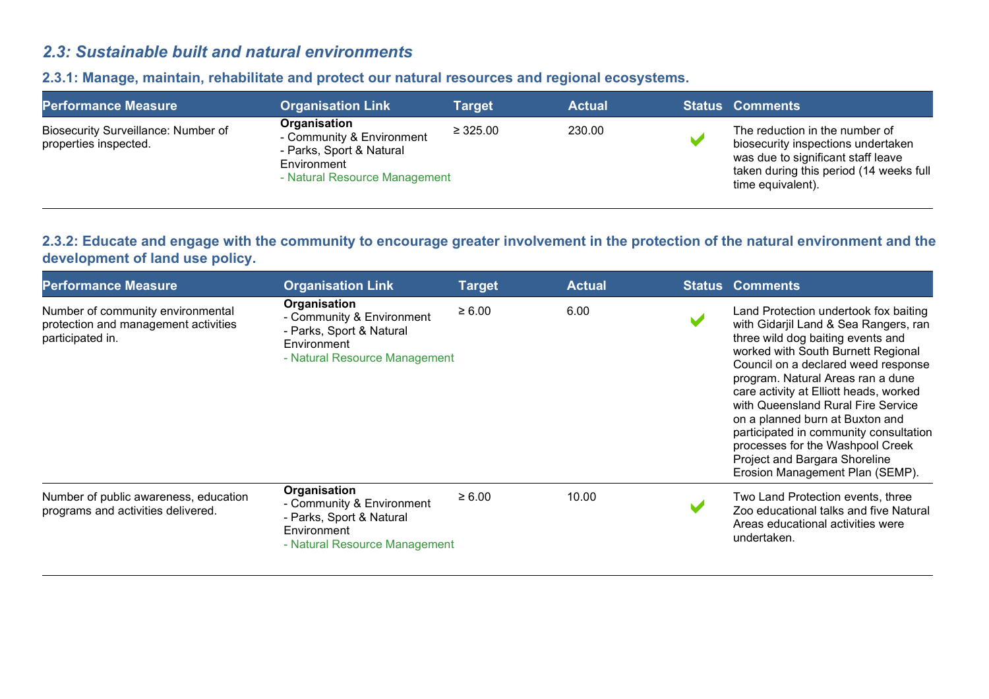## 2.3: Sustainable built and natural environments

| <b>Performance Measure</b>                                   | <b>Organisation Link</b>                                                                                              | Target        | <b>Actual</b> | <b>Status Comments</b>                                                                                                                                                     |
|--------------------------------------------------------------|-----------------------------------------------------------------------------------------------------------------------|---------------|---------------|----------------------------------------------------------------------------------------------------------------------------------------------------------------------------|
| Biosecurity Surveillance: Number of<br>properties inspected. | Organisation<br>- Community & Environment<br>- Parks, Sport & Natural<br>Environment<br>- Natural Resource Management | $\geq 325.00$ | 230.00        | The reduction in the number of<br>biosecurity inspections undertaken<br>was due to significant staff leave<br>taken during this period (14 weeks full<br>time equivalent). |

#### 2.3.1: Manage, maintain, rehabilitate and protect our natural resources and regional ecosystems.

#### 2.3.2: Educate and engage with the community to encourage greater involvement in the protection of the natural environment and the development of land use policy.

| <b>Performance Measure</b>                                                                    | <b>Organisation Link</b>                                                                                              | <b>Target</b> | <b>Actual</b> | <b>Status Comments</b>                                                                                                                                                                                                                                                                                                                                                                                                                                                                                     |
|-----------------------------------------------------------------------------------------------|-----------------------------------------------------------------------------------------------------------------------|---------------|---------------|------------------------------------------------------------------------------------------------------------------------------------------------------------------------------------------------------------------------------------------------------------------------------------------------------------------------------------------------------------------------------------------------------------------------------------------------------------------------------------------------------------|
| Number of community environmental<br>protection and management activities<br>participated in. | Organisation<br>- Community & Environment<br>- Parks, Sport & Natural<br>Environment<br>- Natural Resource Management | $\ge 6.00$    | 6.00          | Land Protection undertook fox baiting<br>with Gidarjil Land & Sea Rangers, ran<br>three wild dog baiting events and<br>worked with South Burnett Regional<br>Council on a declared weed response<br>program. Natural Areas ran a dune<br>care activity at Elliott heads, worked<br>with Queensland Rural Fire Service<br>on a planned burn at Buxton and<br>participated in community consultation<br>processes for the Washpool Creek<br>Project and Bargara Shoreline<br>Erosion Management Plan (SEMP). |
| Number of public awareness, education<br>programs and activities delivered.                   | Organisation<br>- Community & Environment<br>- Parks, Sport & Natural<br>Environment<br>- Natural Resource Management | $\ge 6.00$    | 10.00         | Two Land Protection events, three<br>Zoo educational talks and five Natural<br>Areas educational activities were<br>undertaken.                                                                                                                                                                                                                                                                                                                                                                            |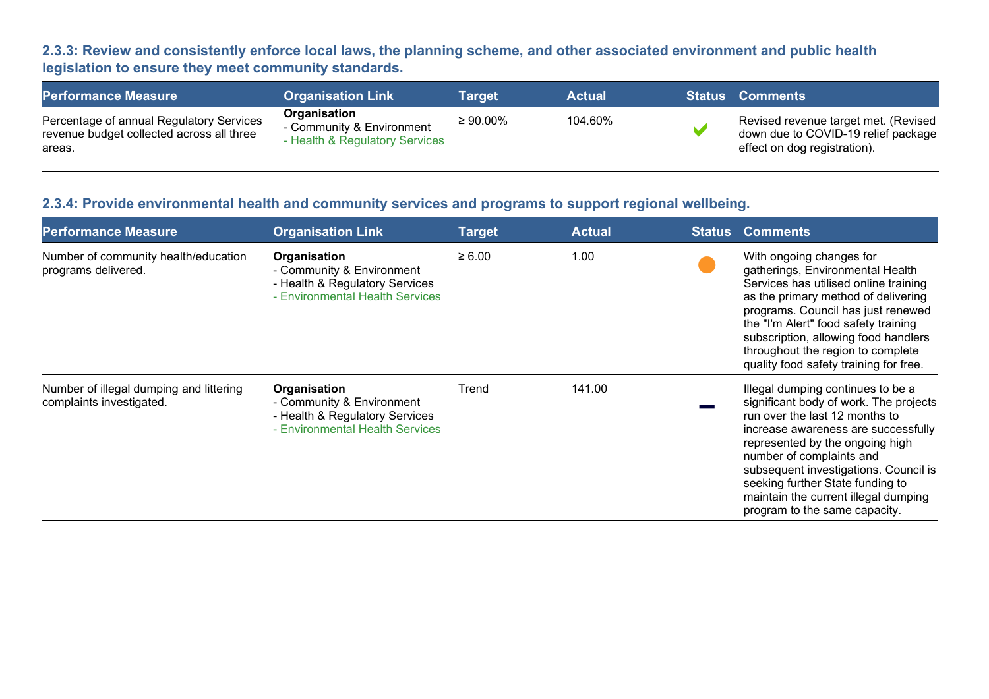#### 2.3.3: Review and consistently enforce local laws, the planning scheme, and other associated environment and public health legislation to ensure they meet community standards.

| <b>Performance Measure</b>                                                                      | <b>Organisation Link</b>                                                    | Tarɑet         | <b>Actual</b> | <b>Status Comments</b>                                                                                      |
|-------------------------------------------------------------------------------------------------|-----------------------------------------------------------------------------|----------------|---------------|-------------------------------------------------------------------------------------------------------------|
| Percentage of annual Regulatory Services<br>revenue budget collected across all three<br>areas. | Organisation<br>- Community & Environment<br>- Health & Regulatory Services | $\geq 90.00\%$ | 104.60%       | Revised revenue target met. (Revised<br>down due to COVID-19 relief package<br>effect on dog registration). |

#### 2.3.4: Provide environmental health and community services and programs to support regional wellbeing.

| <b>Performance Measure</b>                                          | <b>Organisation Link</b>                                                                                       | <b>Target</b> | <b>Actual</b> | <b>Status</b> | <b>Comments</b>                                                                                                                                                                                                                                                                                                                                                           |
|---------------------------------------------------------------------|----------------------------------------------------------------------------------------------------------------|---------------|---------------|---------------|---------------------------------------------------------------------------------------------------------------------------------------------------------------------------------------------------------------------------------------------------------------------------------------------------------------------------------------------------------------------------|
| Number of community health/education<br>programs delivered.         | Organisation<br>- Community & Environment<br>- Health & Regulatory Services<br>- Environmental Health Services | $\geq 6.00$   | 1.00          |               | With ongoing changes for<br>gatherings, Environmental Health<br>Services has utilised online training<br>as the primary method of delivering<br>programs. Council has just renewed<br>the "I'm Alert" food safety training<br>subscription, allowing food handlers<br>throughout the region to complete<br>quality food safety training for free.                         |
| Number of illegal dumping and littering<br>complaints investigated. | Organisation<br>- Community & Environment<br>- Health & Regulatory Services<br>- Environmental Health Services | Trend         | 141.00        |               | Illegal dumping continues to be a<br>significant body of work. The projects<br>run over the last 12 months to<br>increase awareness are successfully<br>represented by the ongoing high<br>number of complaints and<br>subsequent investigations. Council is<br>seeking further State funding to<br>maintain the current illegal dumping<br>program to the same capacity. |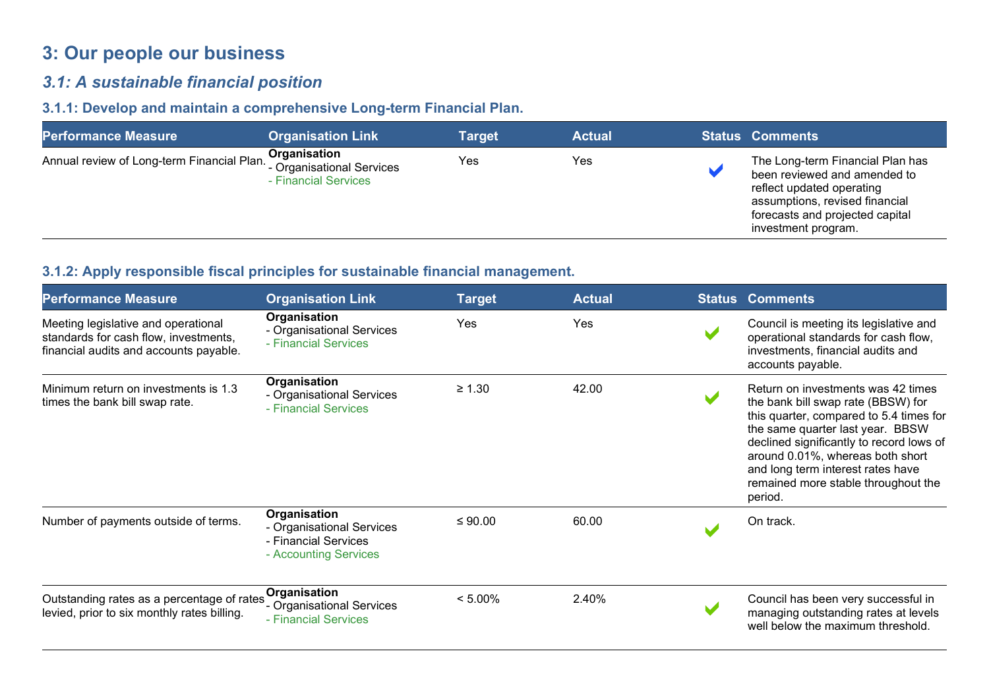# 3: Our people our business

## 3.1: A sustainable financial position

#### 3.1.1: Develop and maintain a comprehensive Long-term Financial Plan.

| <b>Performance Measure</b>                                            | <b>Organisation Link</b>             | <b>Target</b> | <b>Actual</b> | <b>Status Comments</b>                                                                                                                                                                    |
|-----------------------------------------------------------------------|--------------------------------------|---------------|---------------|-------------------------------------------------------------------------------------------------------------------------------------------------------------------------------------------|
| Annual review of Long-term Financial Plan. Junion Creational Services | Organisation<br>- Financial Services | Yes           | Yes           | The Long-term Financial Plan has<br>been reviewed and amended to<br>reflect updated operating<br>assumptions, revised financial<br>forecasts and projected capital<br>investment program. |

#### 3.1.2: Apply responsible fiscal principles for sustainable financial management.

| <b>Performance Measure</b>                                                                                             | <b>Organisation Link</b>                                                                   | <b>Target</b> | <b>Actual</b> | <b>Status Comments</b>                                                                                                                                                                                                                                                                                                         |
|------------------------------------------------------------------------------------------------------------------------|--------------------------------------------------------------------------------------------|---------------|---------------|--------------------------------------------------------------------------------------------------------------------------------------------------------------------------------------------------------------------------------------------------------------------------------------------------------------------------------|
| Meeting legislative and operational<br>standards for cash flow, investments,<br>financial audits and accounts payable. | Organisation<br>- Organisational Services<br>- Financial Services                          | Yes           | Yes           | Council is meeting its legislative and<br>operational standards for cash flow,<br>investments, financial audits and<br>accounts payable.                                                                                                                                                                                       |
| Minimum return on investments is 1.3<br>times the bank bill swap rate.                                                 | Organisation<br>- Organisational Services<br>- Financial Services                          | $\geq 1.30$   | 42.00         | Return on investments was 42 times<br>the bank bill swap rate (BBSW) for<br>this quarter, compared to 5.4 times for<br>the same quarter last year. BBSW<br>declined significantly to record lows of<br>around 0.01%, whereas both short<br>and long term interest rates have<br>remained more stable throughout the<br>period. |
| Number of payments outside of terms.                                                                                   | Organisation<br>- Organisational Services<br>- Financial Services<br>- Accounting Services | ≤ $90.00$     | 60.00         | On track.                                                                                                                                                                                                                                                                                                                      |
| Outstanding rates as a percentage of rates<br>levied, prior to six monthly rates billing.                              | Organisation<br>- Organisational Services<br>- Financial Services                          | $< 5.00\%$    | 2.40%         | Council has been very successful in<br>managing outstanding rates at levels<br>well below the maximum threshold.                                                                                                                                                                                                               |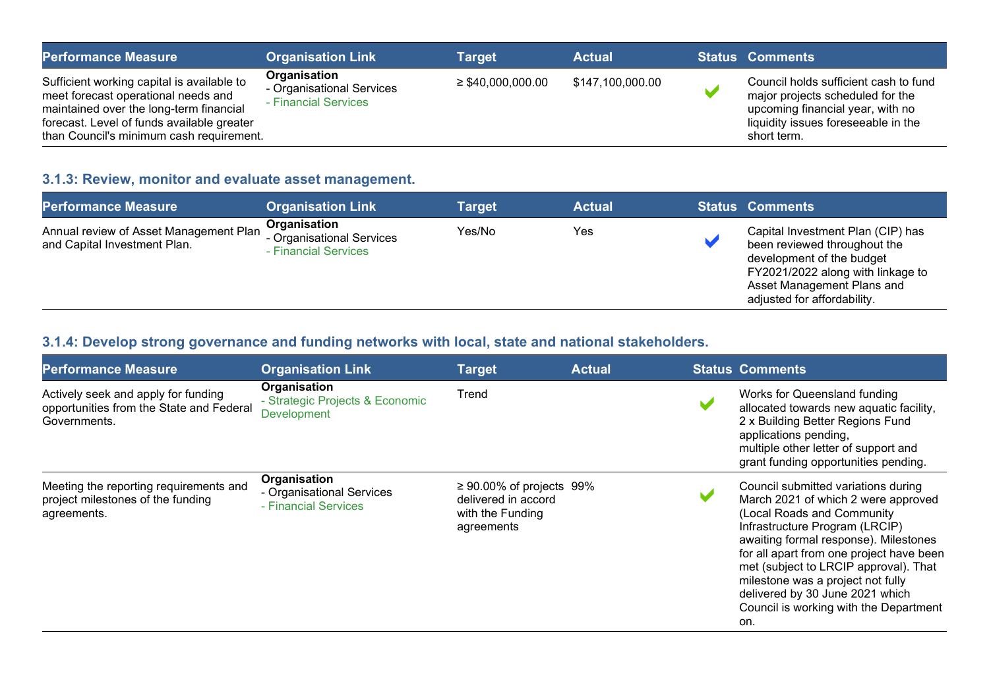| <b>Performance Measure</b>                                                                                                                                                                                             | <b>Organisation Link</b>                                          | <b>Target</b>          | <b>Actual</b>    | <b>Status Comments</b>                                                                                                                                              |
|------------------------------------------------------------------------------------------------------------------------------------------------------------------------------------------------------------------------|-------------------------------------------------------------------|------------------------|------------------|---------------------------------------------------------------------------------------------------------------------------------------------------------------------|
| Sufficient working capital is available to<br>meet forecast operational needs and<br>maintained over the long-term financial<br>forecast. Level of funds available greater<br>than Council's minimum cash requirement. | Organisation<br>- Organisational Services<br>- Financial Services | $\geq$ \$40,000,000.00 | \$147,100,000.00 | Council holds sufficient cash to fund<br>major projects scheduled for the<br>upcoming financial year, with no<br>liquidity issues foreseeable in the<br>short term. |

## 3.1.3: Review, monitor and evaluate asset management.

| <b>Performance Measure</b>                                             | <b>Organisation Link</b>                                          | Target | <b>Actual</b> | <b>Status Comments</b>                                                                                                                                                                           |
|------------------------------------------------------------------------|-------------------------------------------------------------------|--------|---------------|--------------------------------------------------------------------------------------------------------------------------------------------------------------------------------------------------|
| Annual review of Asset Management Plan<br>and Capital Investment Plan. | Organisation<br>- Organisational Services<br>- Financial Services | Yes/No | Yes           | Capital Investment Plan (CIP) has<br>been reviewed throughout the<br>development of the budget<br>FY2021/2022 along with linkage to<br>Asset Management Plans and<br>adjusted for affordability. |

#### 3.1.4: Develop strong governance and funding networks with local, state and national stakeholders.

| <b>Performance Measure</b>                                                                      | <b>Organisation Link</b>                                              | <b>Target</b>                                                                           | <b>Actual</b> | <b>Status Comments</b>                                                                                                                                                                                                                                                                                                                                                                            |
|-------------------------------------------------------------------------------------------------|-----------------------------------------------------------------------|-----------------------------------------------------------------------------------------|---------------|---------------------------------------------------------------------------------------------------------------------------------------------------------------------------------------------------------------------------------------------------------------------------------------------------------------------------------------------------------------------------------------------------|
| Actively seek and apply for funding<br>opportunities from the State and Federal<br>Governments. | Organisation<br>- Strategic Projects & Economic<br><b>Development</b> | Trend                                                                                   |               | Works for Queensland funding<br>allocated towards new aquatic facility,<br>2 x Building Better Regions Fund<br>applications pending,<br>multiple other letter of support and<br>grant funding opportunities pending.                                                                                                                                                                              |
| Meeting the reporting requirements and<br>project milestones of the funding<br>agreements.      | Organisation<br>- Organisational Services<br>- Financial Services     | $\geq 90.00\%$ of projects 99%<br>delivered in accord<br>with the Funding<br>agreements |               | Council submitted variations during<br>March 2021 of which 2 were approved<br>(Local Roads and Community<br>Infrastructure Program (LRCIP)<br>awaiting formal response). Milestones<br>for all apart from one project have been<br>met (subject to LRCIP approval). That<br>milestone was a project not fully<br>delivered by 30 June 2021 which<br>Council is working with the Department<br>on. |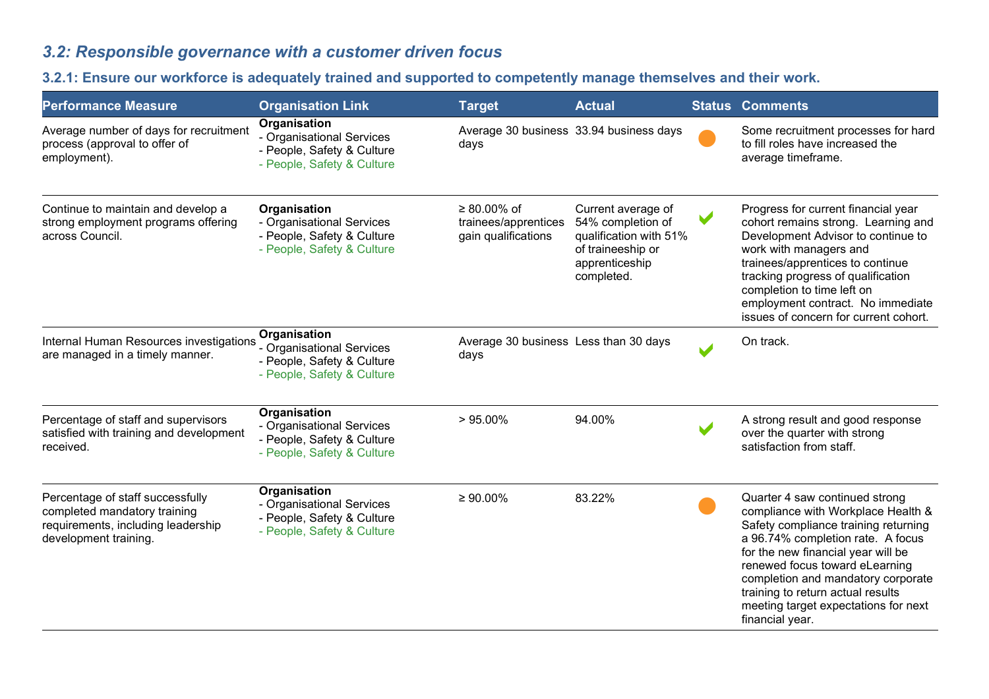# 3.2: Responsible governance with a customer driven focus

## 3.2.1: Ensure our workforce is adequately trained and supported to competently manage themselves and their work.

| <b>Performance Measure</b>                                                                                                      | <b>Organisation Link</b>                                                                                     | <b>Target</b>                                              | <b>Actual</b>                                                                                                          |   | <b>Status Comments</b>                                                                                                                                                                                                                                                                                                                                          |
|---------------------------------------------------------------------------------------------------------------------------------|--------------------------------------------------------------------------------------------------------------|------------------------------------------------------------|------------------------------------------------------------------------------------------------------------------------|---|-----------------------------------------------------------------------------------------------------------------------------------------------------------------------------------------------------------------------------------------------------------------------------------------------------------------------------------------------------------------|
| Average number of days for recruitment<br>process (approval to offer of<br>employment).                                         | Organisation<br>- Organisational Services<br>- People, Safety & Culture<br>- People, Safety & Culture        | days                                                       | Average 30 business 33.94 business days                                                                                |   | Some recruitment processes for hard<br>to fill roles have increased the<br>average timeframe.                                                                                                                                                                                                                                                                   |
| Continue to maintain and develop a<br>strong employment programs offering<br>across Council.                                    | Organisation<br>- Organisational Services<br>- People, Safety & Culture<br>- People, Safety & Culture        | ≥ 80.00% of<br>trainees/apprentices<br>gain qualifications | Current average of<br>54% completion of<br>qualification with 51%<br>of traineeship or<br>apprenticeship<br>completed. | V | Progress for current financial year<br>cohort remains strong. Learning and<br>Development Advisor to continue to<br>work with managers and<br>trainees/apprentices to continue<br>tracking progress of qualification<br>completion to time left on<br>employment contract. No immediate<br>issues of concern for current cohort.                                |
| Internal Human Resources investigations<br>are managed in a timely manner.                                                      | <b>Organisation</b><br>- Organisational Services<br>- People, Safety & Culture<br>- People, Safety & Culture | Average 30 business Less than 30 days<br>days              |                                                                                                                        |   | On track.                                                                                                                                                                                                                                                                                                                                                       |
| Percentage of staff and supervisors<br>satisfied with training and development<br>received.                                     | Organisation<br>- Organisational Services<br>- People, Safety & Culture<br>- People, Safety & Culture        | $>95.00\%$                                                 | 94.00%                                                                                                                 |   | A strong result and good response<br>over the quarter with strong<br>satisfaction from staff.                                                                                                                                                                                                                                                                   |
| Percentage of staff successfully<br>completed mandatory training<br>requirements, including leadership<br>development training. | Organisation<br>- Organisational Services<br>- People, Safety & Culture<br>- People, Safety & Culture        | $\geq 90.00\%$                                             | 83.22%                                                                                                                 |   | Quarter 4 saw continued strong<br>compliance with Workplace Health &<br>Safety compliance training returning<br>a 96.74% completion rate. A focus<br>for the new financial year will be<br>renewed focus toward eLearning<br>completion and mandatory corporate<br>training to return actual results<br>meeting target expectations for next<br>financial year. |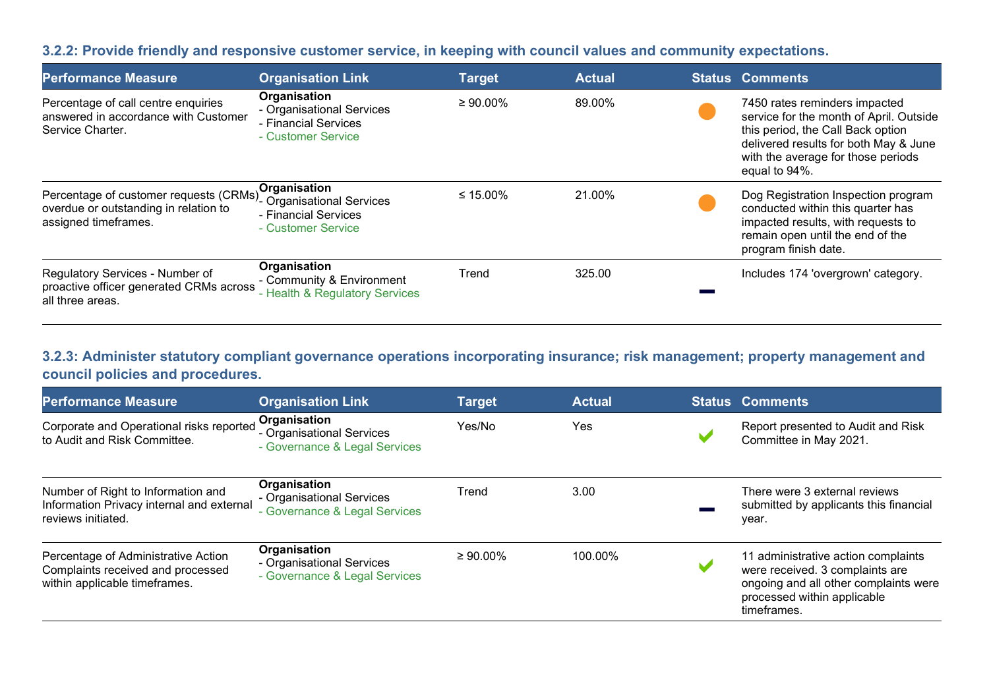#### 3.2.2: Provide friendly and responsive customer service, in keeping with council values and community expectations.

| <b>Performance Measure</b>                                                                              | <b>Organisation Link</b>                                                                | <b>Target</b>  | <b>Actual</b> | Status Comments                                                                                                                                                                                               |
|---------------------------------------------------------------------------------------------------------|-----------------------------------------------------------------------------------------|----------------|---------------|---------------------------------------------------------------------------------------------------------------------------------------------------------------------------------------------------------------|
| Percentage of call centre enquiries<br>answered in accordance with Customer<br>Service Charter.         | Organisation<br>- Organisational Services<br>- Financial Services<br>- Customer Service | $\geq 90.00\%$ | 89.00%        | 7450 rates reminders impacted<br>service for the month of April. Outside<br>this period, the Call Back option<br>delivered results for both May & June<br>with the average for those periods<br>equal to 94%. |
| Percentage of customer requests (CRMs)<br>overdue or outstanding in relation to<br>assigned timeframes. | Organisation<br>- Organisational Services<br>- Financial Services<br>- Customer Service | ≤ 15.00%       | 21.00%        | Dog Registration Inspection program<br>conducted within this quarter has<br>impacted results, with requests to<br>remain open until the end of the<br>program finish date.                                    |
| Regulatory Services - Number of<br>proactive officer generated CRMs across<br>all three areas.          | Organisation<br>- Community & Environment<br>- Health & Regulatory Services             | Trend          | 325.00        | Includes 174 'overgrown' category.                                                                                                                                                                            |

#### 3.2.3: Administer statutory compliant governance operations incorporating insurance; risk management; property management and council policies and procedures.

| <b>Performance Measure</b>                                                                                | <b>Organisation Link</b>                                                   | <b>Target</b>  | <b>Actual</b> | <b>Status Comments</b>                                                                                                                                        |
|-----------------------------------------------------------------------------------------------------------|----------------------------------------------------------------------------|----------------|---------------|---------------------------------------------------------------------------------------------------------------------------------------------------------------|
| Corporate and Operational risks reported<br>to Audit and Risk Committee.                                  | Organisation<br>- Organisational Services<br>- Governance & Legal Services | Yes/No         | Yes           | Report presented to Audit and Risk<br>Committee in May 2021.                                                                                                  |
| Number of Right to Information and<br>Information Privacy internal and external<br>reviews initiated.     | Organisation<br>- Organisational Services<br>- Governance & Legal Services | Trend          | 3.00          | There were 3 external reviews<br>submitted by applicants this financial<br>year.                                                                              |
| Percentage of Administrative Action<br>Complaints received and processed<br>within applicable timeframes. | Organisation<br>- Organisational Services<br>- Governance & Legal Services | $\geq 90.00\%$ | 100.00%       | 11 administrative action complaints<br>were received. 3 complaints are<br>ongoing and all other complaints were<br>processed within applicable<br>timeframes. |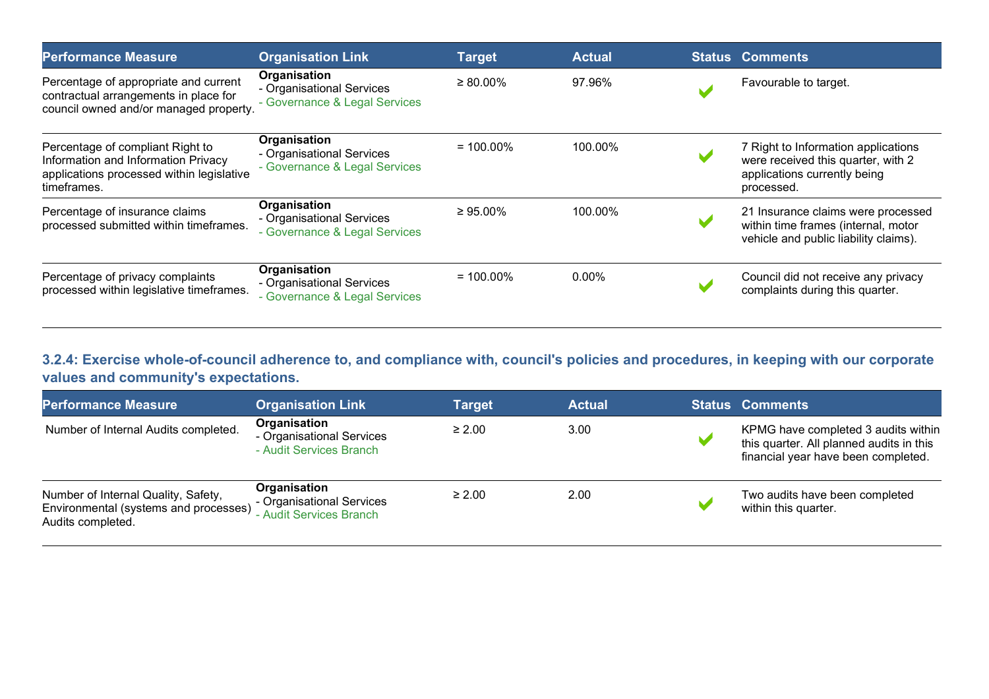| <b>Performance Measure</b>                                                                                                          | <b>Organisation Link</b>                                                   | <b>Target</b>  | <b>Actual</b> | <b>Status Comments</b>                                                                                                  |
|-------------------------------------------------------------------------------------------------------------------------------------|----------------------------------------------------------------------------|----------------|---------------|-------------------------------------------------------------------------------------------------------------------------|
| Percentage of appropriate and current<br>contractual arrangements in place for<br>council owned and/or managed property.            | Organisation<br>- Organisational Services<br>- Governance & Legal Services | $\geq 80.00\%$ | 97.96%        | Favourable to target.                                                                                                   |
| Percentage of compliant Right to<br>Information and Information Privacy<br>applications processed within legislative<br>timeframes. | Organisation<br>- Organisational Services<br>- Governance & Legal Services | $= 100.00\%$   | 100.00%       | 7 Right to Information applications<br>were received this quarter, with 2<br>applications currently being<br>processed. |
| Percentage of insurance claims<br>processed submitted within timeframes.                                                            | Organisation<br>- Organisational Services<br>- Governance & Legal Services | $\geq 95.00\%$ | 100.00%       | 21 Insurance claims were processed<br>within time frames (internal, motor<br>vehicle and public liability claims).      |
| Percentage of privacy complaints<br>processed within legislative timeframes.                                                        | Organisation<br>- Organisational Services<br>- Governance & Legal Services | $= 100.00\%$   | $0.00\%$      | Council did not receive any privacy<br>complaints during this quarter.                                                  |

#### 3.2.4: Exercise whole-of-council adherence to, and compliance with, council's policies and procedures, in keeping with our corporate values and community's expectations.

| <b>Performance Measure</b>                                                                        | <b>Organisation Link</b>                                             | Target      | <b>Actual</b> | <b>Status Comments</b>                                                                                                 |
|---------------------------------------------------------------------------------------------------|----------------------------------------------------------------------|-------------|---------------|------------------------------------------------------------------------------------------------------------------------|
| Number of Internal Audits completed.                                                              | Organisation<br>- Organisational Services<br>- Audit Services Branch | $\geq 2.00$ | 3.00          | KPMG have completed 3 audits within<br>this quarter. All planned audits in this<br>financial year have been completed. |
| Number of Internal Quality, Safety,<br>Environmental (systems and processes)<br>Audits completed. | Organisation<br>- Organisational Services<br>- Audit Services Branch | $\geq 2.00$ | 2.00          | Two audits have been completed<br>within this quarter.                                                                 |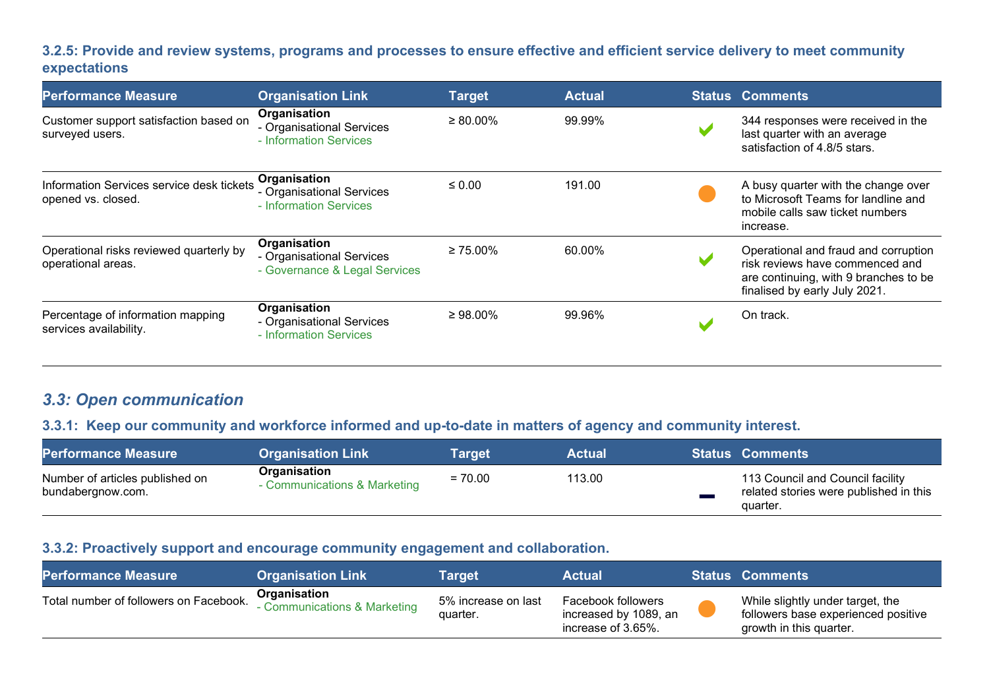#### 3.2.5: Provide and review systems, programs and processes to ensure effective and efficient service delivery to meet community expectations

| <b>Performance Measure</b>                                      | <b>Organisation Link</b>                                                   | <b>Target</b>  | <b>Actual</b> | <b>Status Comments</b>                                                                                                                            |
|-----------------------------------------------------------------|----------------------------------------------------------------------------|----------------|---------------|---------------------------------------------------------------------------------------------------------------------------------------------------|
| Customer support satisfaction based on<br>surveyed users.       | Organisation<br>- Organisational Services<br>- Information Services        | $\geq 80.00\%$ | 99.99%        | 344 responses were received in the<br>last quarter with an average<br>satisfaction of 4.8/5 stars.                                                |
| Information Services service desk tickets<br>opened vs. closed. | Organisation<br>- Organisational Services<br>- Information Services        | $\leq 0.00$    | 191.00        | A busy quarter with the change over<br>to Microsoft Teams for landline and<br>mobile calls saw ticket numbers<br>increase.                        |
| Operational risks reviewed quarterly by<br>operational areas.   | Organisation<br>- Organisational Services<br>- Governance & Legal Services | $\geq 75.00\%$ | 60.00%        | Operational and fraud and corruption<br>risk reviews have commenced and<br>are continuing, with 9 branches to be<br>finalised by early July 2021. |
| Percentage of information mapping<br>services availability.     | Organisation<br>- Organisational Services<br>- Information Services        | $\geq 98.00\%$ | 99.96%        | On track.                                                                                                                                         |

## 3.3: Open communication

#### 3.3.1: Keep our community and workforce informed and up-to-date in matters of agency and community interest.

| <b>Performance Measure</b>                           | <b>Organisation Link</b>                     | Target    | <b>Actual</b> | <b>Status Comments</b>                                                                 |
|------------------------------------------------------|----------------------------------------------|-----------|---------------|----------------------------------------------------------------------------------------|
| Number of articles published on<br>bundabergnow.com. | Organisation<br>- Communications & Marketing | $= 70.00$ | 113.00        | 113 Council and Council facility<br>related stories were published in this<br>quarter. |

#### 3.3.2: Proactively support and encourage community engagement and collaboration.

| <b>Performance Measure</b>             | <b>Organisation Link</b>                     | Target                          | <b>Actual</b>                                                     | <b>Status Comments</b>                                                                             |
|----------------------------------------|----------------------------------------------|---------------------------------|-------------------------------------------------------------------|----------------------------------------------------------------------------------------------------|
| Total number of followers on Facebook. | Organisation<br>- Communications & Marketing | 5% increase on last<br>quarter. | Facebook followers<br>increased by 1089, an<br>increase of 3.65%. | While slightly under target, the<br>followers base experienced positive<br>growth in this quarter. |